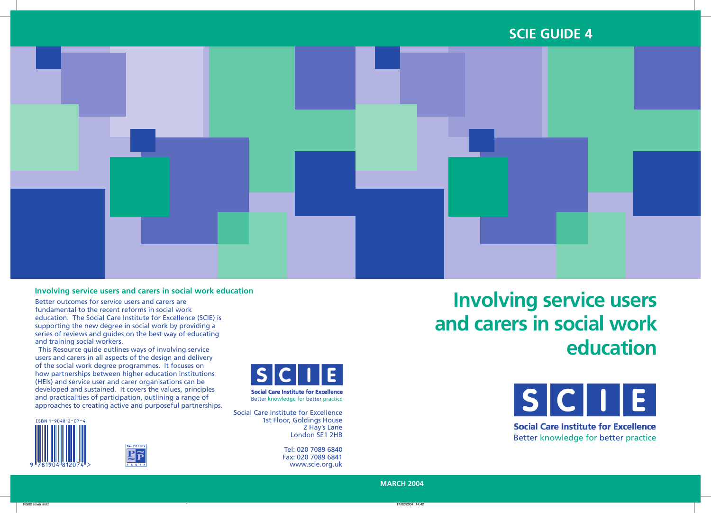



# **Involving service users and carers in social work education**



**Social Care Institute for Excellence** Better knowledge for better practice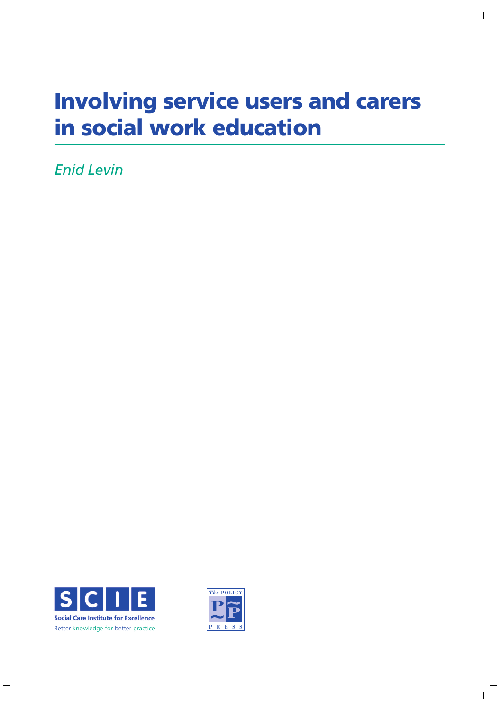## **Involving service users and carers in social work education**

*Enid Levin*



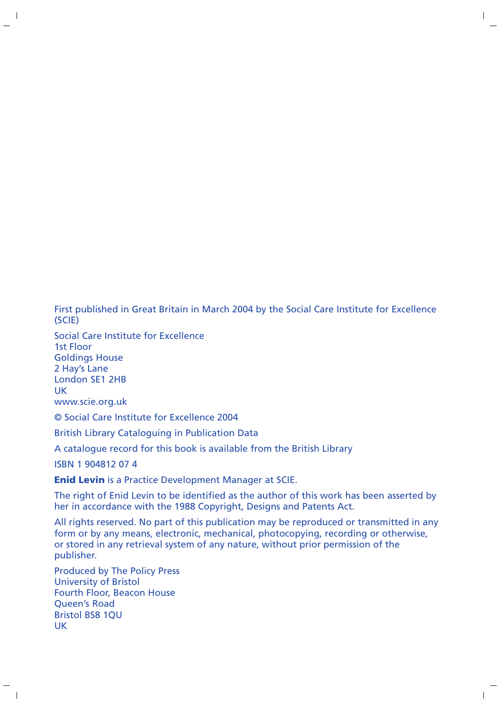First published in Great Britain in March 2004 by the Social Care Institute for Excellence (SCIE)

Social Care Institute for Excellence 1st Floor Goldings House 2 Hay's Lane London SE1 2HB UK www.scie.org.uk

© Social Care Institute for Excellence 2004

British Library Cataloguing in Publication Data

A catalogue record for this book is available from the British Library

ISBN 1 904812 07 4

**Enid Levin** is a Practice Development Manager at SCIE.

The right of Enid Levin to be identified as the author of this work has been asserted by her in accordance with the 1988 Copyright, Designs and Patents Act.

All rights reserved. No part of this publication may be reproduced or transmitted in any form or by any means, electronic, mechanical, photocopying, recording or otherwise, or stored in any retrieval system of any nature, without prior permission of the publisher.

Produced by The Policy Press University of Bristol Fourth Floor, Beacon House Queen's Road Bristol BS8 1QU UK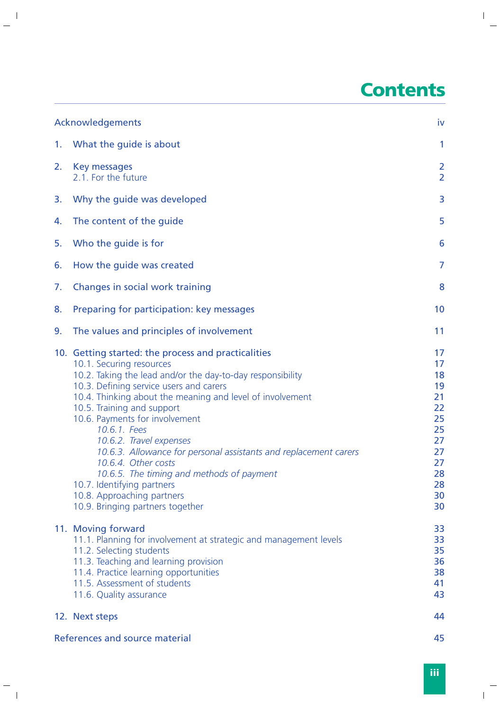### **Contents**

| Acknowledgements               |                                                                                                                                                                                                                                                                                                                                                                                                                                                                                                                                                                                                          | iv                                                                                     |
|--------------------------------|----------------------------------------------------------------------------------------------------------------------------------------------------------------------------------------------------------------------------------------------------------------------------------------------------------------------------------------------------------------------------------------------------------------------------------------------------------------------------------------------------------------------------------------------------------------------------------------------------------|----------------------------------------------------------------------------------------|
| 1.                             | What the guide is about                                                                                                                                                                                                                                                                                                                                                                                                                                                                                                                                                                                  | 1                                                                                      |
| 2.                             | <b>Key messages</b><br>2.1. For the future                                                                                                                                                                                                                                                                                                                                                                                                                                                                                                                                                               | $\overline{2}$<br>$\overline{2}$                                                       |
| 3.                             | Why the guide was developed                                                                                                                                                                                                                                                                                                                                                                                                                                                                                                                                                                              | 3                                                                                      |
| 4.                             | The content of the guide                                                                                                                                                                                                                                                                                                                                                                                                                                                                                                                                                                                 | 5                                                                                      |
| 5.                             | Who the guide is for                                                                                                                                                                                                                                                                                                                                                                                                                                                                                                                                                                                     | 6                                                                                      |
| 6.                             | How the guide was created                                                                                                                                                                                                                                                                                                                                                                                                                                                                                                                                                                                | 7                                                                                      |
| 7.                             | Changes in social work training                                                                                                                                                                                                                                                                                                                                                                                                                                                                                                                                                                          | 8                                                                                      |
| 8.                             | Preparing for participation: key messages                                                                                                                                                                                                                                                                                                                                                                                                                                                                                                                                                                | 10                                                                                     |
| 9.                             | The values and principles of involvement                                                                                                                                                                                                                                                                                                                                                                                                                                                                                                                                                                 | 11                                                                                     |
|                                | 10. Getting started: the process and practicalities<br>10.1. Securing resources<br>10.2. Taking the lead and/or the day-to-day responsibility<br>10.3. Defining service users and carers<br>10.4. Thinking about the meaning and level of involvement<br>10.5. Training and support<br>10.6. Payments for involvement<br>10.6.1. Fees<br>10.6.2. Travel expenses<br>10.6.3. Allowance for personal assistants and replacement carers<br>10.6.4. Other costs<br>10.6.5. The timing and methods of payment<br>10.7. Identifying partners<br>10.8. Approaching partners<br>10.9. Bringing partners together | 17<br>17<br>18<br>19<br>21<br>22<br>25<br>25<br>27<br>27<br>27<br>28<br>28<br>30<br>30 |
|                                | 11. Moving forward<br>11.1. Planning for involvement at strategic and management levels<br>11.2. Selecting students<br>11.3. Teaching and learning provision<br>11.4. Practice learning opportunities<br>11.5. Assessment of students<br>11.6. Quality assurance                                                                                                                                                                                                                                                                                                                                         | 33<br>33<br>35<br>36<br>38<br>41<br>43                                                 |
|                                | 12. Next steps                                                                                                                                                                                                                                                                                                                                                                                                                                                                                                                                                                                           | 44                                                                                     |
| References and source material |                                                                                                                                                                                                                                                                                                                                                                                                                                                                                                                                                                                                          | 45                                                                                     |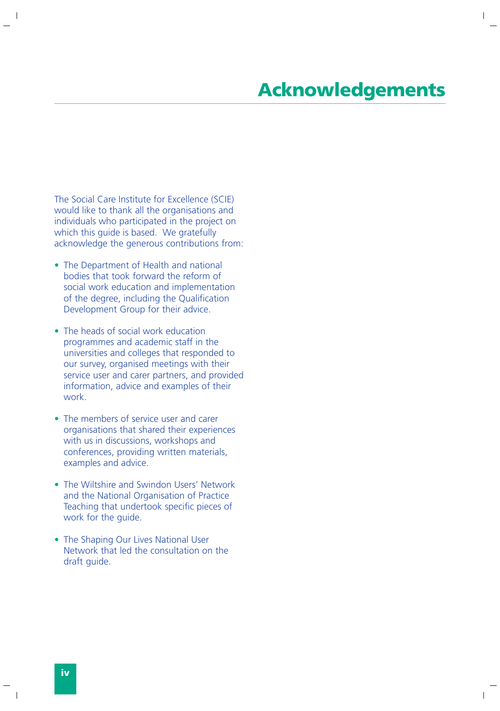### **Acknowledgements**

The Social Care Institute for Excellence (SCIE) would like to thank all the organisations and individuals who participated in the project on which this guide is based. We gratefully acknowledge the generous contributions from:

- The Department of Health and national bodies that took forward the reform of social work education and implementation of the degree, including the Qualification Development Group for their advice.
- The heads of social work education programmes and academic staff in the universities and colleges that responded to our survey, organised meetings with their service user and carer partners, and provided information, advice and examples of their work.
- The members of service user and carer organisations that shared their experiences with us in discussions, workshops and conferences, providing written materials, examples and advice.
- The Wiltshire and Swindon Users' Network and the National Organisation of Practice Teaching that undertook specific pieces of work for the guide.
- The Shaping Our Lives National User Network that led the consultation on the draft guide.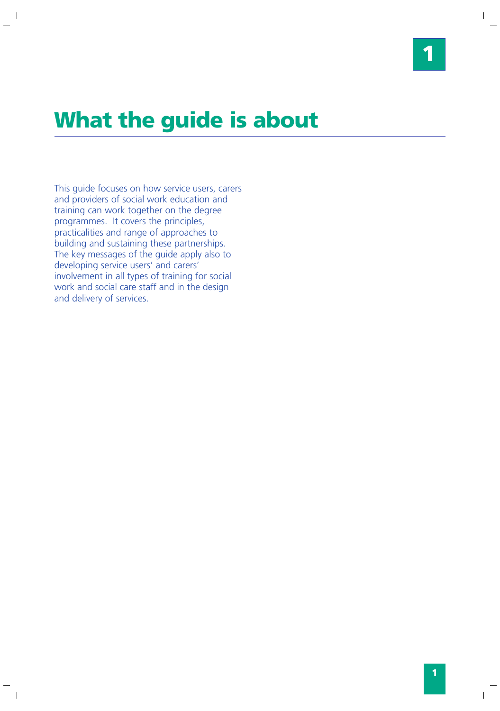## **What the guide is about**

This guide focuses on how service users, carers and providers of social work education and training can work together on the degree programmes. It covers the principles, practicalities and range of approaches to building and sustaining these partnerships. The key messages of the guide apply also to developing service users' and carers' involvement in all types of training for social work and social care staff and in the design and delivery of services.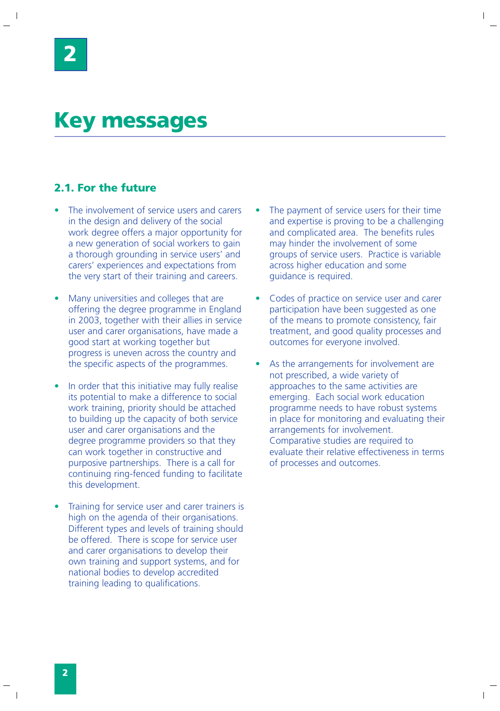*Involving service users and carers in social work education*

#### **2.1. For the future**

**2**

- The involvement of service users and carers in the design and delivery of the social work degree offers a major opportunity for a new generation of social workers to gain a thorough grounding in service users' and carers' experiences and expectations from the very start of their training and careers.
- Many universities and colleges that are offering the degree programme in England in 2003, together with their allies in service user and carer organisations, have made a good start at working together but progress is uneven across the country and the specific aspects of the programmes.
- In order that this initiative may fully realise its potential to make a difference to social work training, priority should be attached to building up the capacity of both service user and carer organisations and the degree programme providers so that they can work together in constructive and purposive partnerships. There is a call for continuing ring-fenced funding to facilitate this development.
- Training for service user and carer trainers is high on the agenda of their organisations. Different types and levels of training should be offered. There is scope for service user and carer organisations to develop their own training and support systems, and for national bodies to develop accredited training leading to qualifications.
- The payment of service users for their time and expertise is proving to be a challenging and complicated area. The benefits rules may hinder the involvement of some groups of service users. Practice is variable across higher education and some guidance is required.
- Codes of practice on service user and carer participation have been suggested as one of the means to promote consistency, fair treatment, and good quality processes and outcomes for everyone involved.
- As the arrangements for involvement are not prescribed, a wide variety of approaches to the same activities are emerging. Each social work education programme needs to have robust systems in place for monitoring and evaluating their arrangements for involvement. Comparative studies are required to evaluate their relative effectiveness in terms of processes and outcomes.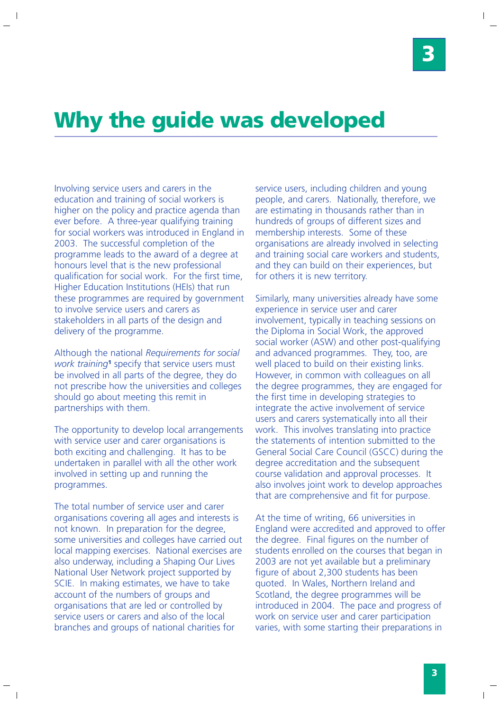### **Why the guide was developed**

Involving service users and carers in the education and training of social workers is higher on the policy and practice agenda than ever before. A three-year qualifying training for social workers was introduced in England in 2003. The successful completion of the programme leads to the award of a degree at honours level that is the new professional qualification for social work. For the first time, Higher Education Institutions (HEIs) that run these programmes are required by government to involve service users and carers as stakeholders in all parts of the design and delivery of the programme.

Although the national *Requirements for social work training***<sup>1</sup>** specify that service users must be involved in all parts of the degree, they do not prescribe how the universities and colleges should go about meeting this remit in partnerships with them.

The opportunity to develop local arrangements with service user and carer organisations is both exciting and challenging. It has to be undertaken in parallel with all the other work involved in setting up and running the programmes.

The total number of service user and carer organisations covering all ages and interests is not known. In preparation for the degree, some universities and colleges have carried out local mapping exercises. National exercises are also underway, including a Shaping Our Lives National User Network project supported by SCIE. In making estimates, we have to take account of the numbers of groups and organisations that are led or controlled by service users or carers and also of the local branches and groups of national charities for

service users, including children and young people, and carers. Nationally, therefore, we are estimating in thousands rather than in hundreds of groups of different sizes and membership interests. Some of these organisations are already involved in selecting and training social care workers and students, and they can build on their experiences, but for others it is new territory.

Similarly, many universities already have some experience in service user and carer involvement, typically in teaching sessions on the Diploma in Social Work, the approved social worker (ASW) and other post-qualifying and advanced programmes. They, too, are well placed to build on their existing links. However, in common with colleagues on all the degree programmes, they are engaged for the first time in developing strategies to integrate the active involvement of service users and carers systematically into all their work. This involves translating into practice the statements of intention submitted to the General Social Care Council (GSCC) during the degree accreditation and the subsequent course validation and approval processes. It also involves joint work to develop approaches that are comprehensive and fit for purpose.

At the time of writing, 66 universities in England were accredited and approved to offer the degree. Final figures on the number of students enrolled on the courses that began in 2003 are not yet available but a preliminary figure of about 2,300 students has been quoted. In Wales, Northern Ireland and Scotland, the degree programmes will be introduced in 2004. The pace and progress of work on service user and carer participation varies, with some starting their preparations in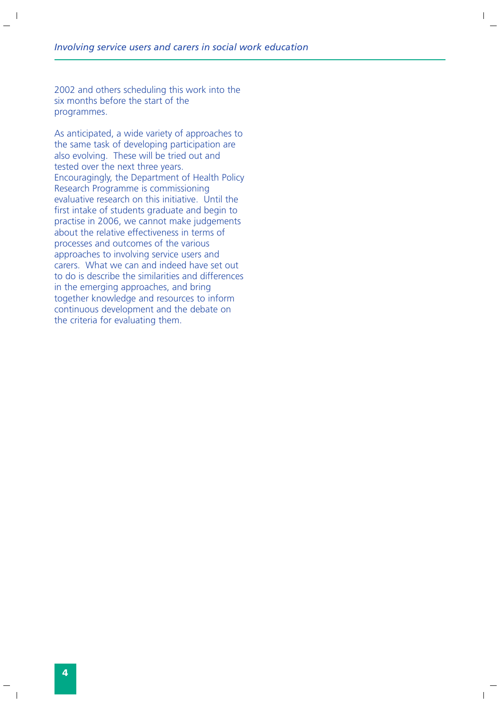2002 and others scheduling this work into the six months before the start of the programmes.

As anticipated, a wide variety of approaches to the same task of developing participation are also evolving. These will be tried out and tested over the next three years. Encouragingly, the Department of Health Policy Research Programme is commissioning evaluative research on this initiative. Until the first intake of students graduate and begin to practise in 2006, we cannot make judgements about the relative effectiveness in terms of processes and outcomes of the various approaches to involving service users and carers. What we can and indeed have set out to do is describe the similarities and differences in the emerging approaches, and bring together knowledge and resources to inform continuous development and the debate on the criteria for evaluating them.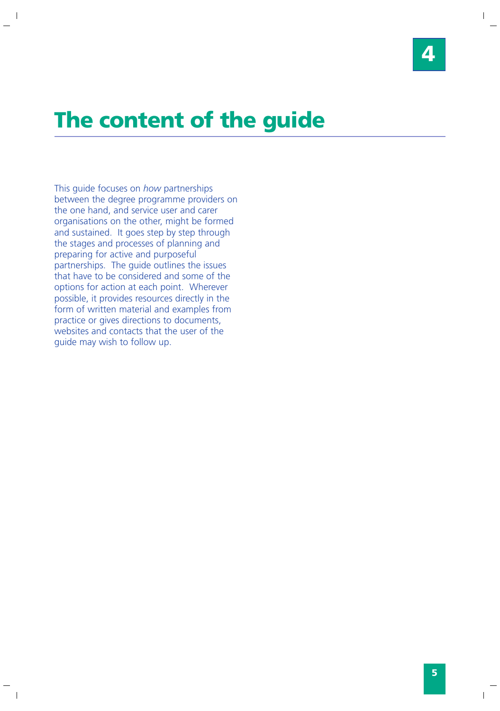### **The content of the guide**

This guide focuses on *how* partnerships between the degree programme providers on the one hand, and service user and carer organisations on the other, might be formed and sustained. It goes step by step through the stages and processes of planning and preparing for active and purposeful partnerships. The guide outlines the issues that have to be considered and some of the options for action at each point. Wherever possible, it provides resources directly in the form of written material and examples from practice or gives directions to documents, websites and contacts that the user of the guide may wish to follow up.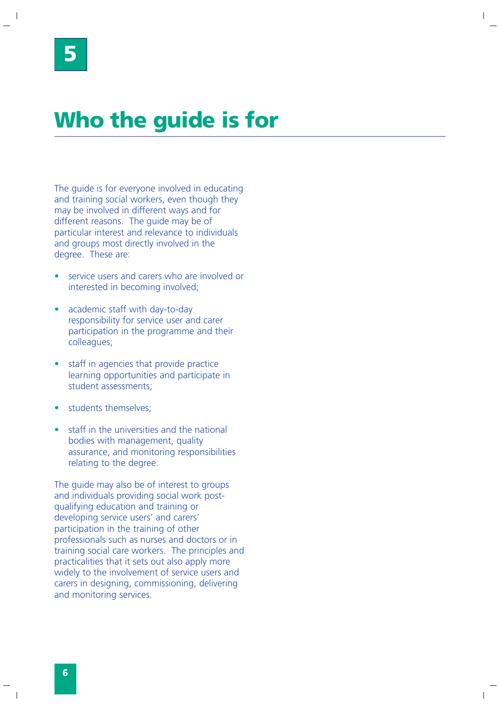## **Who the guide is for**

The guide is for everyone involved in educating and training social workers, even though they may be involved in different ways and for different reasons. The guide may be of particular interest and relevance to individuals and groups most directly involved in the degree. These are:

- service users and carers who are involved or interested in becoming involved;
- academic staff with day-to-day responsibility for service user and carer participation in the programme and their colleagues;
- staff in agencies that provide practice learning opportunities and participate in student assessments;
- students themselves:
- staff in the universities and the national bodies with management, quality assurance, and monitoring responsibilities relating to the degree.

The guide may also be of interest to groups and individuals providing social work postqualifying education and training or developing service users' and carers' participation in the training of other professionals such as nurses and doctors or in training social care workers. The principles and practicalities that it sets out also apply more widely to the involvement of service users and carers in designing, commissioning, delivering and monitoring services.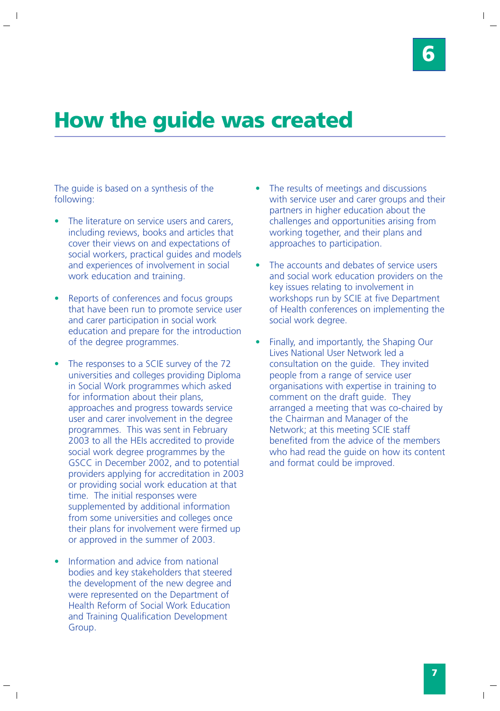### **How the guide was created**

The guide is based on a synthesis of the following:

- The literature on service users and carers, including reviews, books and articles that cover their views on and expectations of social workers, practical guides and models and experiences of involvement in social work education and training.
- Reports of conferences and focus groups that have been run to promote service user and carer participation in social work education and prepare for the introduction of the degree programmes.
- The responses to a SCIE survey of the 72 universities and colleges providing Diploma in Social Work programmes which asked for information about their plans, approaches and progress towards service user and carer involvement in the degree programmes. This was sent in February 2003 to all the HEIs accredited to provide social work degree programmes by the GSCC in December 2002, and to potential providers applying for accreditation in 2003 or providing social work education at that time. The initial responses were supplemented by additional information from some universities and colleges once their plans for involvement were firmed up or approved in the summer of 2003.
- Information and advice from national bodies and key stakeholders that steered the development of the new degree and were represented on the Department of Health Reform of Social Work Education and Training Qualification Development Group.
- The results of meetings and discussions with service user and carer groups and their partners in higher education about the challenges and opportunities arising from working together, and their plans and approaches to participation.
- The accounts and debates of service users and social work education providers on the key issues relating to involvement in workshops run by SCIE at five Department of Health conferences on implementing the social work degree.
- Finally, and importantly, the Shaping Our Lives National User Network led a consultation on the guide. They invited people from a range of service user organisations with expertise in training to comment on the draft guide. They arranged a meeting that was co-chaired by the Chairman and Manager of the Network; at this meeting SCIE staff benefited from the advice of the members who had read the guide on how its content and format could be improved.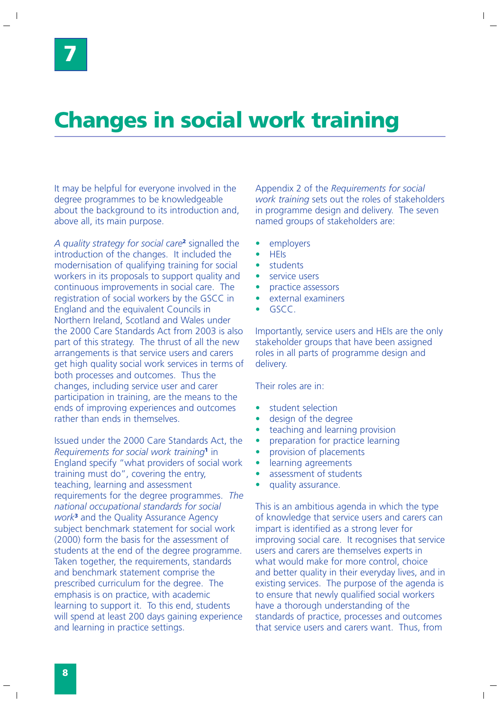### **Changes in social work training**

It may be helpful for everyone involved in the degree programmes to be knowledgeable about the background to its introduction and, above all, its main purpose.

*A quality strategy for social care***<sup>2</sup>** signalled the introduction of the changes. It included the modernisation of qualifying training for social workers in its proposals to support quality and continuous improvements in social care. The registration of social workers by the GSCC in England and the equivalent Councils in Northern Ireland, Scotland and Wales under the 2000 Care Standards Act from 2003 is also part of this strategy. The thrust of all the new arrangements is that service users and carers get high quality social work services in terms of both processes and outcomes. Thus the changes, including service user and carer participation in training, are the means to the ends of improving experiences and outcomes rather than ends in themselves.

Issued under the 2000 Care Standards Act, the *Requirements for social work training***<sup>1</sup>** in England specify "what providers of social work training must do", covering the entry, teaching, learning and assessment requirements for the degree programmes. *The national occupational standards for social work***<sup>3</sup>** and the Quality Assurance Agency subject benchmark statement for social work (2000) form the basis for the assessment of students at the end of the degree programme. Taken together, the requirements, standards and benchmark statement comprise the prescribed curriculum for the degree. The emphasis is on practice, with academic learning to support it. To this end, students will spend at least 200 days gaining experience and learning in practice settings.

Appendix 2 of the *Requirements for social work training* sets out the roles of stakeholders in programme design and delivery. The seven named groups of stakeholders are:

- employers
- HEIs
- students
- service users
- practice assessors
- external examiners
- GSCC.

Importantly, service users and HEIs are the only stakeholder groups that have been assigned roles in all parts of programme design and delivery.

Their roles are in:

- student selection
- design of the degree
- teaching and learning provision
- preparation for practice learning
- provision of placements
- learning agreements
- assessment of students
- quality assurance.

This is an ambitious agenda in which the type of knowledge that service users and carers can impart is identified as a strong lever for improving social care. It recognises that service users and carers are themselves experts in what would make for more control, choice and better quality in their everyday lives, and in existing services. The purpose of the agenda is to ensure that newly qualified social workers have a thorough understanding of the standards of practice, processes and outcomes that service users and carers want. Thus, from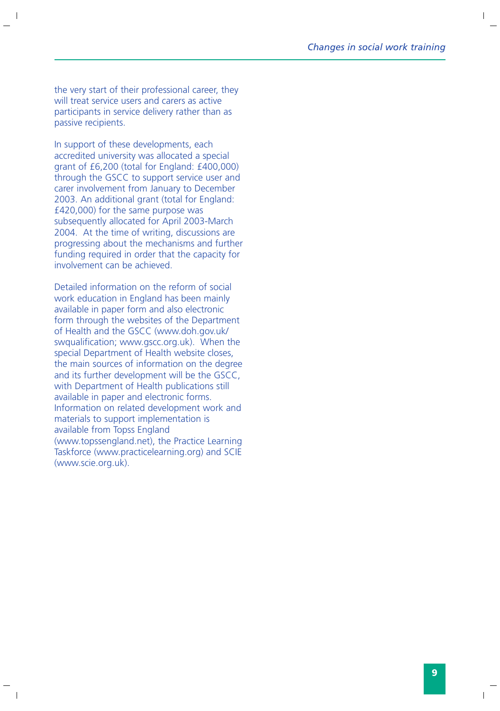the very start of their professional career, they will treat service users and carers as active participants in service delivery rather than as passive recipients.

In support of these developments, each accredited university was allocated a special grant of £6,200 (total for England: £400,000) through the GSCC to support service user and carer involvement from January to December 2003. An additional grant (total for England: £420,000) for the same purpose was subsequently allocated for April 2003-March 2004. At the time of writing, discussions are progressing about the mechanisms and further funding required in order that the capacity for involvement can be achieved.

Detailed information on the reform of social work education in England has been mainly available in paper form and also electronic form through the websites of the Department of Health and the GSCC (www.doh.gov.uk/ swqualification; www.gscc.org.uk). When the special Department of Health website closes, the main sources of information on the degree and its further development will be the GSCC, with Department of Health publications still available in paper and electronic forms. Information on related development work and materials to support implementation is available from Topss England (www.topssengland.net), the Practice Learning Taskforce (www.practicelearning.org) and SCIE (www.scie.org.uk).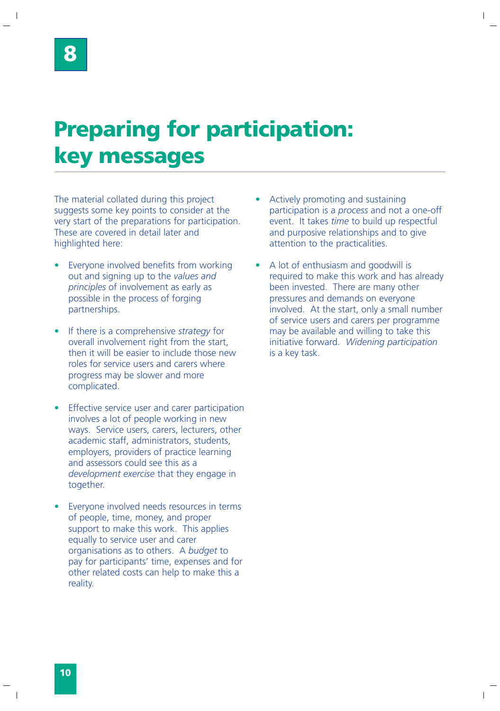## **Preparing for participation: key messages**

*Involving service users and carers in social work education*

The material collated during this project suggests some key points to consider at the very start of the preparations for participation. These are covered in detail later and highlighted here:

**8**

- Everyone involved benefits from working out and signing up to the *values and principles* of involvement as early as possible in the process of forging partnerships.
- If there is a comprehensive *strategy* for overall involvement right from the start, then it will be easier to include those new roles for service users and carers where progress may be slower and more complicated.
- Effective service user and carer participation involves a lot of people working in new ways. Service users, carers, lecturers, other academic staff, administrators, students, employers, providers of practice learning and assessors could see this as a *development exercise* that they engage in together.
- Everyone involved needs resources in terms of people, time, money, and proper support to make this work. This applies equally to service user and carer organisations as to others. A *budget* to pay for participants' time, expenses and for other related costs can help to make this a reality.
- Actively promoting and sustaining participation is a *process* and not a one-off event. It takes *time* to build up respectful and purposive relationships and to give attention to the practicalities.
- A lot of enthusiasm and goodwill is required to make this work and has already been invested. There are many other pressures and demands on everyone involved. At the start, only a small number of service users and carers per programme may be available and willing to take this initiative forward. *Widening participation* is a key task.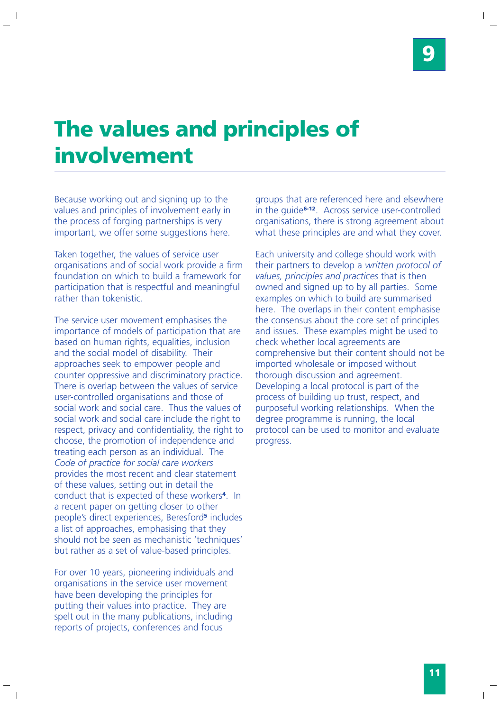### **The values and principles of involvement**

Because working out and signing up to the values and principles of involvement early in the process of forging partnerships is very important, we offer some suggestions here.

Taken together, the values of service user organisations and of social work provide a firm foundation on which to build a framework for participation that is respectful and meaningful rather than tokenistic.

The service user movement emphasises the importance of models of participation that are based on human rights, equalities, inclusion and the social model of disability. Their approaches seek to empower people and counter oppressive and discriminatory practice. There is overlap between the values of service user-controlled organisations and those of social work and social care. Thus the values of social work and social care include the right to respect, privacy and confidentiality, the right to choose, the promotion of independence and treating each person as an individual. The *Code of practice for social care workers* provides the most recent and clear statement of these values, setting out in detail the conduct that is expected of these workers**<sup>4</sup>**. In a recent paper on getting closer to other people's direct experiences, Beresford**<sup>5</sup>** includes a list of approaches, emphasising that they should not be seen as mechanistic 'techniques' but rather as a set of value-based principles.

For over 10 years, pioneering individuals and organisations in the service user movement have been developing the principles for putting their values into practice. They are spelt out in the many publications, including reports of projects, conferences and focus

groups that are referenced here and elsewhere in the guide**6-12**. Across service user-controlled organisations, there is strong agreement about what these principles are and what they cover.

**9**

Each university and college should work with their partners to develop a *written protocol of values, principles and practices* that is then owned and signed up to by all parties. Some examples on which to build are summarised here. The overlaps in their content emphasise the consensus about the core set of principles and issues. These examples might be used to check whether local agreements are comprehensive but their content should not be imported wholesale or imposed without thorough discussion and agreement. Developing a local protocol is part of the process of building up trust, respect, and purposeful working relationships. When the degree programme is running, the local protocol can be used to monitor and evaluate progress.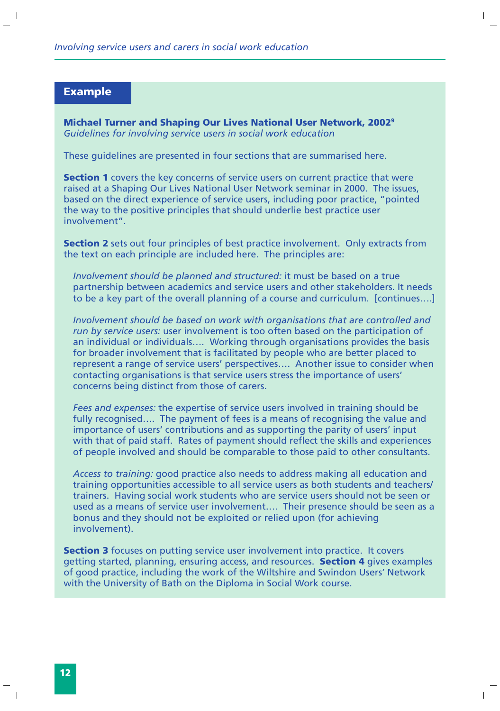**Michael Turner and Shaping Our Lives National User Network, 20029** *Guidelines for involving service users in social work education*

These guidelines are presented in four sections that are summarised here.

**Section 1** covers the key concerns of service users on current practice that were raised at a Shaping Our Lives National User Network seminar in 2000. The issues, based on the direct experience of service users, including poor practice, "pointed the way to the positive principles that should underlie best practice user involvement".

**Section 2** sets out four principles of best practice involvement. Only extracts from the text on each principle are included here. The principles are:

*Involvement should be planned and structured:* it must be based on a true partnership between academics and service users and other stakeholders. It needs to be a key part of the overall planning of a course and curriculum. [continues….]

*Involvement should be based on work with organisations that are controlled and run by service users:* user involvement is too often based on the participation of an individual or individuals…. Working through organisations provides the basis for broader involvement that is facilitated by people who are better placed to represent a range of service users' perspectives…. Another issue to consider when contacting organisations is that service users stress the importance of users' concerns being distinct from those of carers.

*Fees and expenses:* the expertise of service users involved in training should be fully recognised…. The payment of fees is a means of recognising the value and importance of users' contributions and as supporting the parity of users' input with that of paid staff. Rates of payment should reflect the skills and experiences of people involved and should be comparable to those paid to other consultants.

*Access to training:* good practice also needs to address making all education and training opportunities accessible to all service users as both students and teachers/ trainers. Having social work students who are service users should not be seen or used as a means of service user involvement…. Their presence should be seen as a bonus and they should not be exploited or relied upon (for achieving involvement).

**Section 3** focuses on putting service user involvement into practice. It covers getting started, planning, ensuring access, and resources. **Section 4** gives examples of good practice, including the work of the Wiltshire and Swindon Users' Network with the University of Bath on the Diploma in Social Work course.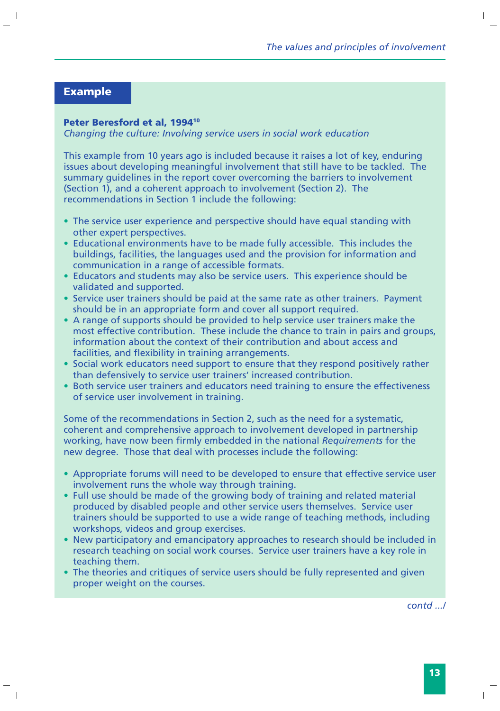#### **Peter Beresford et al, 199410**

*Changing the culture: Involving service users in social work education*

This example from 10 years ago is included because it raises a lot of key, enduring issues about developing meaningful involvement that still have to be tackled. The summary guidelines in the report cover overcoming the barriers to involvement (Section 1), and a coherent approach to involvement (Section 2). The recommendations in Section 1 include the following:

- The service user experience and perspective should have equal standing with other expert perspectives.
- Educational environments have to be made fully accessible. This includes the buildings, facilities, the languages used and the provision for information and communication in a range of accessible formats.
- Educators and students may also be service users. This experience should be validated and supported.
- Service user trainers should be paid at the same rate as other trainers. Payment should be in an appropriate form and cover all support required.
- A range of supports should be provided to help service user trainers make the most effective contribution. These include the chance to train in pairs and groups, information about the context of their contribution and about access and facilities, and flexibility in training arrangements.
- Social work educators need support to ensure that they respond positively rather than defensively to service user trainers' increased contribution.
- Both service user trainers and educators need training to ensure the effectiveness of service user involvement in training.

Some of the recommendations in Section 2, such as the need for a systematic, coherent and comprehensive approach to involvement developed in partnership working, have now been firmly embedded in the national *Requirements* for the new degree. Those that deal with processes include the following:

- Appropriate forums will need to be developed to ensure that effective service user involvement runs the whole way through training.
- Full use should be made of the growing body of training and related material produced by disabled people and other service users themselves. Service user trainers should be supported to use a wide range of teaching methods, including workshops, videos and group exercises.
- New participatory and emancipatory approaches to research should be included in research teaching on social work courses. Service user trainers have a key role in teaching them.
- The theories and critiques of service users should be fully represented and given proper weight on the courses.

*contd .../*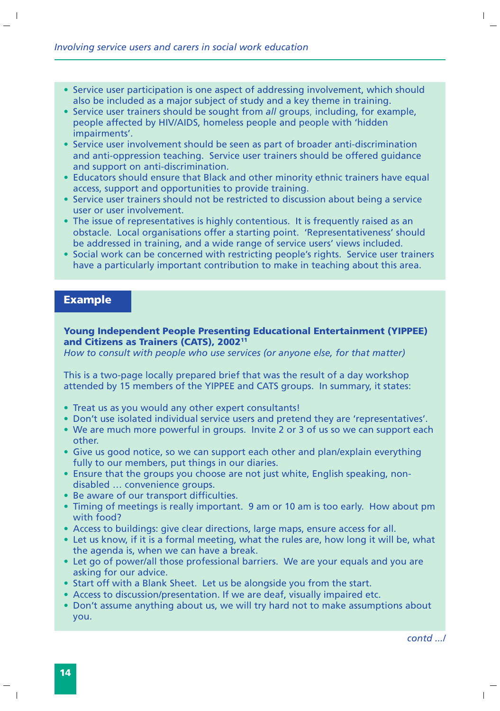- Service user participation is one aspect of addressing involvement, which should also be included as a major subject of study and a key theme in training.
- Service user trainers should be sought from *all* groups, including, for example, people affected by HIV/AIDS, homeless people and people with 'hidden impairments'.
- Service user involvement should be seen as part of broader anti-discrimination and anti-oppression teaching. Service user trainers should be offered guidance and support on anti-discrimination.
- Educators should ensure that Black and other minority ethnic trainers have equal access, support and opportunities to provide training.
- Service user trainers should not be restricted to discussion about being a service user or user involvement.
- The issue of representatives is highly contentious. It is frequently raised as an obstacle. Local organisations offer a starting point. 'Representativeness' should be addressed in training, and a wide range of service users' views included.
- Social work can be concerned with restricting people's rights. Service user trainers have a particularly important contribution to make in teaching about this area.

#### **Young Independent People Presenting Educational Entertainment (YIPPEE) and Citizens as Trainers (CATS), 200211**

*How to consult with people who use services (or anyone else, for that matter)*

This is a two-page locally prepared brief that was the result of a day workshop attended by 15 members of the YIPPEE and CATS groups. In summary, it states:

- Treat us as you would any other expert consultants!
- Don't use isolated individual service users and pretend they are 'representatives'.
- We are much more powerful in groups. Invite 2 or 3 of us so we can support each other.
- Give us good notice, so we can support each other and plan/explain everything fully to our members, put things in our diaries.
- Ensure that the groups you choose are not just white, English speaking, nondisabled … convenience groups.
- Be aware of our transport difficulties.
- Timing of meetings is really important. 9 am or 10 am is too early. How about pm with food?
- Access to buildings: give clear directions, large maps, ensure access for all.
- Let us know, if it is a formal meeting, what the rules are, how long it will be, what the agenda is, when we can have a break.
- Let go of power/all those professional barriers. We are your equals and you are asking for our advice.
- Start off with a Blank Sheet. Let us be alongside you from the start.
- Access to discussion/presentation. If we are deaf, visually impaired etc.
- Don't assume anything about us, we will try hard not to make assumptions about you.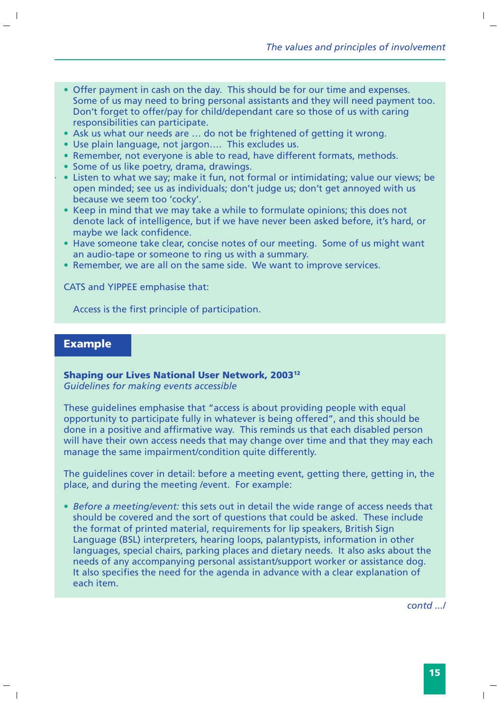- Offer payment in cash on the day. This should be for our time and expenses. Some of us may need to bring personal assistants and they will need payment too. Don't forget to offer/pay for child/dependant care so those of us with caring responsibilities can participate.
- Ask us what our needs are … do not be frightened of getting it wrong.
- Use plain language, not jargon…. This excludes us.
- Remember, not everyone is able to read, have different formats, methods.
- Some of us like poetry, drama, drawings.
- Listen to what we say; make it fun, not formal or intimidating; value our views; be open minded; see us as individuals; don't judge us; don't get annoyed with us because we seem too 'cocky'.
- Keep in mind that we may take a while to formulate opinions; this does not denote lack of intelligence, but if we have never been asked before, it's hard, or maybe we lack confidence.
- Have someone take clear, concise notes of our meeting. Some of us might want an audio-tape or someone to ring us with a summary.
- Remember, we are all on the same side. We want to improve services.

CATS and YIPPEE emphasise that:

Access is the first principle of participation.

#### **Example**

#### **Shaping our Lives National User Network, 200312**

*Guidelines for making events accessible*

These guidelines emphasise that "access is about providing people with equal opportunity to participate fully in whatever is being offered", and this should be done in a positive and affirmative way. This reminds us that each disabled person will have their own access needs that may change over time and that they may each manage the same impairment/condition quite differently.

The guidelines cover in detail: before a meeting event, getting there, getting in, the place, and during the meeting /event. For example:

• *Before a meeting/event:* this sets out in detail the wide range of access needs that should be covered and the sort of questions that could be asked. These include the format of printed material, requirements for lip speakers, British Sign Language (BSL) interpreters, hearing loops, palantypists, information in other languages, special chairs, parking places and dietary needs. It also asks about the needs of any accompanying personal assistant/support worker or assistance dog. It also specifies the need for the agenda in advance with a clear explanation of each item.

*contd .../*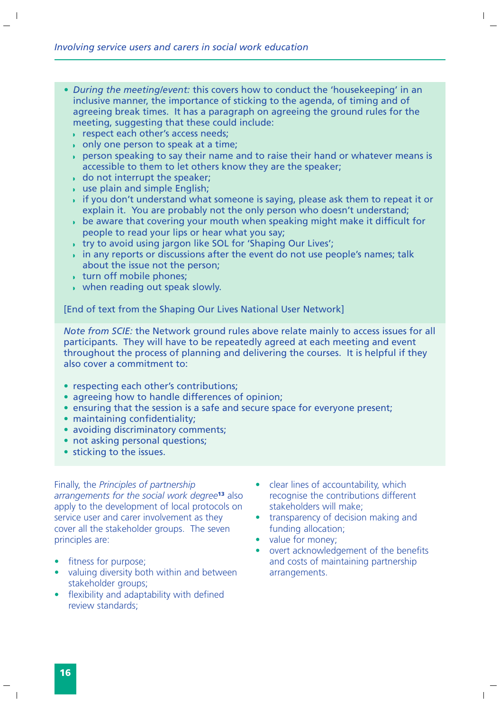- *• During the meeting/event:* this covers how to conduct the 'housekeeping' in an inclusive manner, the importance of sticking to the agenda, of timing and of agreeing break times. It has a paragraph on agreeing the ground rules for the meeting, suggesting that these could include:
	- ◗ respect each other's access needs;
	- ◗ only one person to speak at a time;
	- ◗ person speaking to say their name and to raise their hand or whatever means is accessible to them to let others know they are the speaker;
	- ◗ do not interrupt the speaker;
	- ◗ use plain and simple English;
	- ◗ if you don't understand what someone is saying, please ask them to repeat it or explain it. You are probably not the only person who doesn't understand;
	- ◗ be aware that covering your mouth when speaking might make it difficult for people to read your lips or hear what you say;
	- ◗ try to avoid using jargon like SOL for 'Shaping Our Lives';
	- **ightary in any reports or discussions after the event do not use people's names; talk** about the issue not the person;
	- ◗ turn off mobile phones;
	- ◗ when reading out speak slowly.

[End of text from the Shaping Our Lives National User Network]

*Note from SCIE:* the Network ground rules above relate mainly to access issues for all participants. They will have to be repeatedly agreed at each meeting and event throughout the process of planning and delivering the courses. It is helpful if they also cover a commitment to:

- respecting each other's contributions;
- agreeing how to handle differences of opinion;
- ensuring that the session is a safe and secure space for everyone present;
- maintaining confidentiality;
- avoiding discriminatory comments;
- not asking personal questions;
- sticking to the issues.

Finally, the *Principles of partnership arrangements for the social work degree***<sup>13</sup>** also apply to the development of local protocols on service user and carer involvement as they cover all the stakeholder groups. The seven principles are:

- fitness for purpose;
- valuing diversity both within and between stakeholder groups;
- flexibility and adaptability with defined review standards;
- clear lines of accountability, which recognise the contributions different stakeholders will make;
- transparency of decision making and funding allocation;
- value for money;
- overt acknowledgement of the benefits and costs of maintaining partnership arrangements.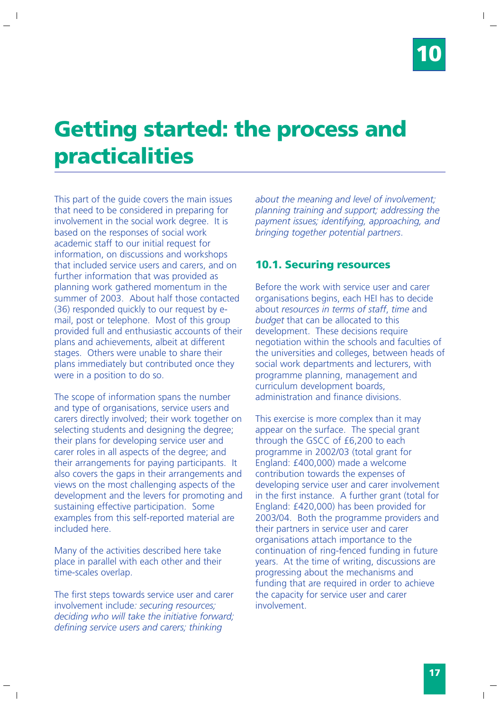

### **Getting started: the process and practicalities**

This part of the guide covers the main issues that need to be considered in preparing for involvement in the social work degree. It is based on the responses of social work academic staff to our initial request for information, on discussions and workshops that included service users and carers, and on further information that was provided as planning work gathered momentum in the summer of 2003. About half those contacted (36) responded quickly to our request by email, post or telephone. Most of this group provided full and enthusiastic accounts of their plans and achievements, albeit at different stages. Others were unable to share their plans immediately but contributed once they were in a position to do so.

The scope of information spans the number and type of organisations, service users and carers directly involved; their work together on selecting students and designing the degree; their plans for developing service user and carer roles in all aspects of the degree; and their arrangements for paying participants. It also covers the gaps in their arrangements and views on the most challenging aspects of the development and the levers for promoting and sustaining effective participation. Some examples from this self-reported material are included here.

Many of the activities described here take place in parallel with each other and their time-scales overlap.

The first steps towards service user and carer involvement include*: securing resources; deciding who will take the initiative forward; defining service users and carers; thinking*

*about the meaning and level of involvement; planning training and support; addressing the payment issues; identifying, approaching, and bringing together potential partners*.

#### **10.1. Securing resources**

Before the work with service user and carer organisations begins, each HEI has to decide about *resources in terms of staff*, *time* and *budget* that can be allocated to this development. These decisions require negotiation within the schools and faculties of the universities and colleges, between heads of social work departments and lecturers, with programme planning, management and curriculum development boards, administration and finance divisions.

This exercise is more complex than it may appear on the surface. The special grant through the GSCC of £6,200 to each programme in 2002/03 (total grant for England: £400,000) made a welcome contribution towards the expenses of developing service user and carer involvement in the first instance. A further grant (total for England: £420,000) has been provided for 2003/04. Both the programme providers and their partners in service user and carer organisations attach importance to the continuation of ring-fenced funding in future years. At the time of writing, discussions are progressing about the mechanisms and funding that are required in order to achieve the capacity for service user and carer involvement.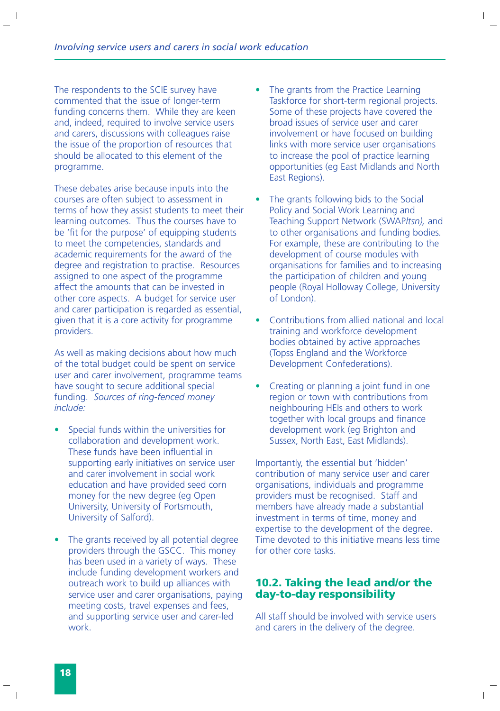The respondents to the SCIE survey have commented that the issue of longer-term funding concerns them. While they are keen and, indeed, required to involve service users and carers, discussions with colleagues raise the issue of the proportion of resources that should be allocated to this element of the programme.

These debates arise because inputs into the courses are often subject to assessment in terms of how they assist students to meet their learning outcomes. Thus the courses have to be 'fit for the purpose' of equipping students to meet the competencies, standards and academic requirements for the award of the degree and registration to practise. Resources assigned to one aspect of the programme affect the amounts that can be invested in other core aspects. A budget for service user and carer participation is regarded as essential, given that it is a core activity for programme providers.

As well as making decisions about how much of the total budget could be spent on service user and carer involvement, programme teams have sought to secure additional special funding. *Sources of ring-fenced money include:*

- Special funds within the universities for collaboration and development work. These funds have been influential in supporting early initiatives on service user and carer involvement in social work education and have provided seed corn money for the new degree (eg Open University, University of Portsmouth, University of Salford).
- The grants received by all potential degree providers through the GSCC. This money has been used in a variety of ways. These include funding development workers and outreach work to build up alliances with service user and carer organisations, paying meeting costs, travel expenses and fees, and supporting service user and carer-led work.
- The grants from the Practice Learning Taskforce for short-term regional projects. Some of these projects have covered the broad issues of service user and carer involvement or have focused on building links with more service user organisations to increase the pool of practice learning opportunities (eg East Midlands and North East Regions).
- The grants following bids to the Social Policy and Social Work Learning and Teaching Support Network (SWAP*ltsn),* and to other organisations and funding bodies*.* For example, these are contributing to the development of course modules with organisations for families and to increasing the participation of children and young people (Royal Holloway College, University of London).
- Contributions from allied national and local training and workforce development bodies obtained by active approaches (Topss England and the Workforce Development Confederations).
- Creating or planning a joint fund in one region or town with contributions from neighbouring HEIs and others to work together with local groups and finance development work (eg Brighton and Sussex, North East, East Midlands).

Importantly, the essential but 'hidden' contribution of many service user and carer organisations, individuals and programme providers must be recognised. Staff and members have already made a substantial investment in terms of time, money and expertise to the development of the degree. Time devoted to this initiative means less time for other core tasks

#### **10.2. Taking the lead and/or the day-to-day responsibility**

All staff should be involved with service users and carers in the delivery of the degree.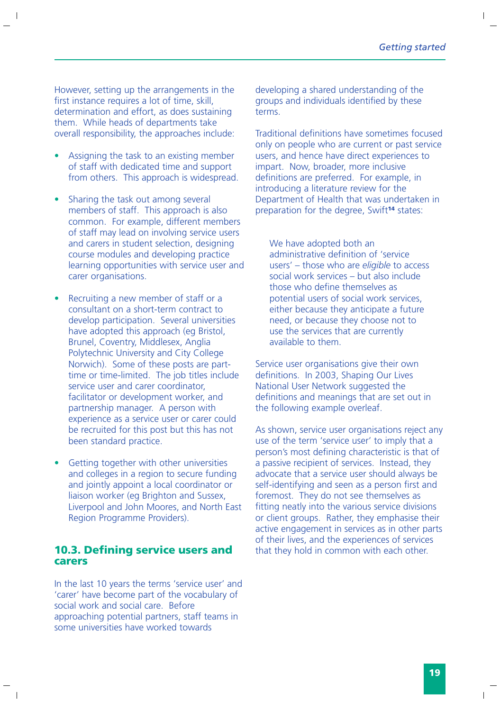However, setting up the arrangements in the first instance requires a lot of time, skill, determination and effort, as does sustaining them. While heads of departments take overall responsibility, the approaches include:

- Assigning the task to an existing member of staff with dedicated time and support from others. This approach is widespread.
- Sharing the task out among several members of staff. This approach is also common. For example, different members of staff may lead on involving service users and carers in student selection, designing course modules and developing practice learning opportunities with service user and carer organisations.
- Recruiting a new member of staff or a consultant on a short-term contract to develop participation. Several universities have adopted this approach (eg Bristol, Brunel, Coventry, Middlesex, Anglia Polytechnic University and City College Norwich). Some of these posts are parttime or time-limited. The job titles include service user and carer coordinator, facilitator or development worker, and partnership manager. A person with experience as a service user or carer could be recruited for this post but this has not been standard practice.
- Getting together with other universities and colleges in a region to secure funding and jointly appoint a local coordinator or liaison worker (eg Brighton and Sussex, Liverpool and John Moores, and North East Region Programme Providers).

#### **10.3. Defining service users and carers**

In the last 10 years the terms 'service user' and 'carer' have become part of the vocabulary of social work and social care. Before approaching potential partners, staff teams in some universities have worked towards

developing a shared understanding of the groups and individuals identified by these terms.

Traditional definitions have sometimes focused only on people who are current or past service users, and hence have direct experiences to impart. Now, broader, more inclusive definitions are preferred. For example, in introducing a literature review for the Department of Health that was undertaken in preparation for the degree, Swift**<sup>14</sup>** states:

We have adopted both an administrative definition of 'service users' – those who are *eligible* to access social work services – but also include those who define themselves as potential users of social work services, either because they anticipate a future need, or because they choose not to use the services that are currently available to them.

Service user organisations give their own definitions. In 2003, Shaping Our Lives National User Network suggested the definitions and meanings that are set out in the following example overleaf.

As shown, service user organisations reject any use of the term 'service user' to imply that a person's most defining characteristic is that of a passive recipient of services. Instead, they advocate that a service user should always be self-identifying and seen as a person first and foremost. They do not see themselves as fitting neatly into the various service divisions or client groups. Rather, they emphasise their active engagement in services as in other parts of their lives, and the experiences of services that they hold in common with each other.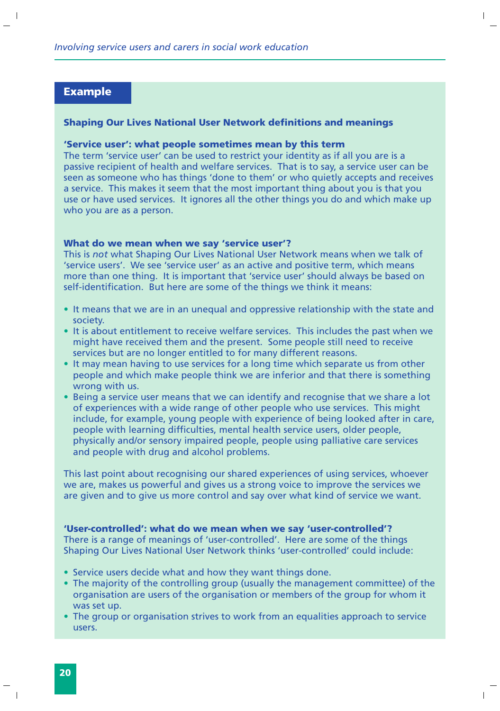#### **Shaping Our Lives National User Network definitions and meanings**

#### **'Service user': what people sometimes mean by this term**

The term 'service user' can be used to restrict your identity as if all you are is a passive recipient of health and welfare services. That is to say, a service user can be seen as someone who has things 'done to them' or who quietly accepts and receives a service. This makes it seem that the most important thing about you is that you use or have used services. It ignores all the other things you do and which make up who you are as a person.

#### **What do we mean when we say 'service user'?**

This is *not* what Shaping Our Lives National User Network means when we talk of 'service users'. We see 'service user' as an active and positive term, which means more than one thing. It is important that 'service user' should always be based on self-identification. But here are some of the things we think it means:

- It means that we are in an unequal and oppressive relationship with the state and society.
- It is about entitlement to receive welfare services. This includes the past when we might have received them and the present. Some people still need to receive services but are no longer entitled to for many different reasons.
- It may mean having to use services for a long time which separate us from other people and which make people think we are inferior and that there is something wrong with us.
- Being a service user means that we can identify and recognise that we share a lot of experiences with a wide range of other people who use services. This might include, for example, young people with experience of being looked after in care, people with learning difficulties, mental health service users, older people, physically and/or sensory impaired people, people using palliative care services and people with drug and alcohol problems.

This last point about recognising our shared experiences of using services, whoever we are, makes us powerful and gives us a strong voice to improve the services we are given and to give us more control and say over what kind of service we want.

#### **'User-controlled': what do we mean when we say 'user-controlled'?**

There is a range of meanings of 'user-controlled'. Here are some of the things Shaping Our Lives National User Network thinks 'user-controlled' could include:

- Service users decide what and how they want things done.
- The majority of the controlling group (usually the management committee) of the organisation are users of the organisation or members of the group for whom it was set up.
- The group or organisation strives to work from an equalities approach to service users.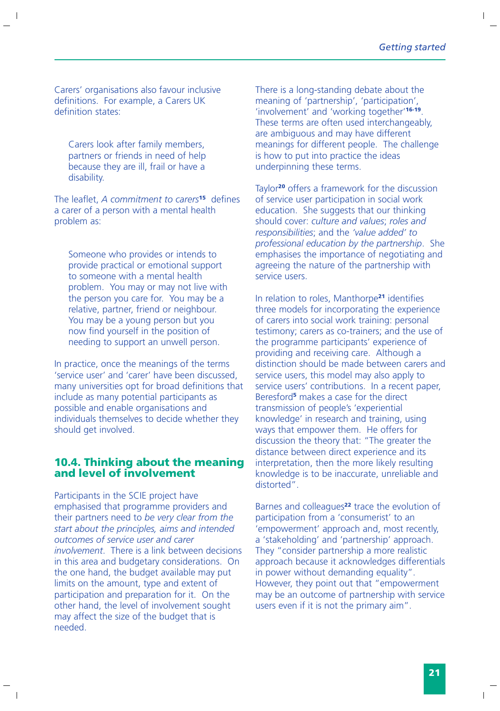Carers' organisations also favour inclusive definitions. For example, a Carers UK definition states:

Carers look after family members, partners or friends in need of help because they are ill, frail or have a disability.

The leaflet, *A commitment to carers***<sup>15</sup>** defines a carer of a person with a mental health problem as:

Someone who provides or intends to provide practical or emotional support to someone with a mental health problem. You may or may not live with the person you care for. You may be a relative, partner, friend or neighbour. You may be a young person but you now find yourself in the position of needing to support an unwell person.

In practice, once the meanings of the terms 'service user' and 'carer' have been discussed, many universities opt for broad definitions that include as many potential participants as possible and enable organisations and individuals themselves to decide whether they should get involved.

#### **10.4. Thinking about the meaning and level of involvement**

Participants in the SCIE project have emphasised that programme providers and their partners need to *be very clear from the start about the principles, aims and intended outcomes of service user and carer involvement*. There is a link between decisions in this area and budgetary considerations. On the one hand, the budget available may put limits on the amount, type and extent of participation and preparation for it. On the other hand, the level of involvement sought may affect the size of the budget that is needed.

There is a long-standing debate about the meaning of 'partnership', 'participation', 'involvement' and 'working together'**16-19**. These terms are often used interchangeably, are ambiguous and may have different meanings for different people. The challenge is how to put into practice the ideas underpinning these terms.

Taylor**<sup>20</sup>** offers a framework for the discussion of service user participation in social work education. She suggests that our thinking should cover: *culture and values*; *roles and responsibilities*; and the *'value added' to professional education by the partnership*. She emphasises the importance of negotiating and agreeing the nature of the partnership with service users.

In relation to roles, Manthorpe**<sup>21</sup>** identifies three models for incorporating the experience of carers into social work training: personal testimony; carers as co-trainers; and the use of the programme participants' experience of providing and receiving care. Although a distinction should be made between carers and service users, this model may also apply to service users' contributions. In a recent paper, Beresford**<sup>5</sup>** makes a case for the direct transmission of people's 'experiential knowledge' in research and training, using ways that empower them. He offers for discussion the theory that: "The greater the distance between direct experience and its interpretation, then the more likely resulting knowledge is to be inaccurate, unreliable and distorted".

Barnes and colleagues**<sup>22</sup>** trace the evolution of participation from a 'consumerist' to an 'empowerment' approach and, most recently, a 'stakeholding' and 'partnership' approach. They "consider partnership a more realistic approach because it acknowledges differentials in power without demanding equality". However, they point out that "empowerment may be an outcome of partnership with service users even if it is not the primary aim".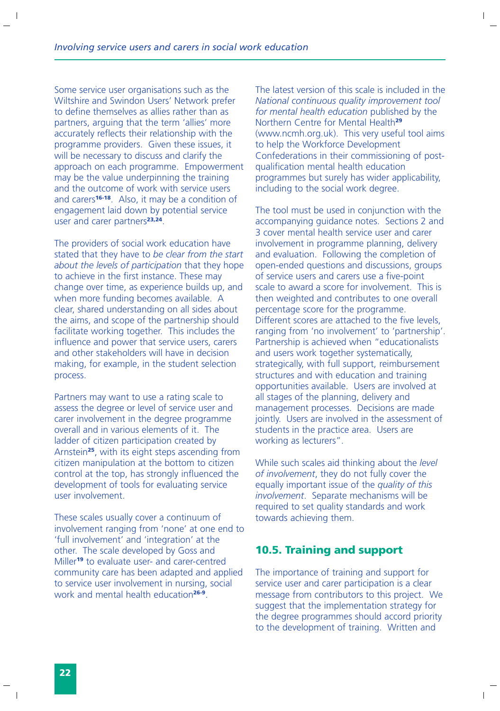Some service user organisations such as the Wiltshire and Swindon Users' Network prefer to define themselves as allies rather than as partners, arguing that the term 'allies' more accurately reflects their relationship with the programme providers. Given these issues, it will be necessary to discuss and clarify the approach on each programme. Empowerment may be the value underpinning the training and the outcome of work with service users and carers**16-18**. Also, it may be a condition of engagement laid down by potential service user and carer partners**23,24**.

The providers of social work education have stated that they have to *be clear from the start about the levels of participation* that they hope to achieve in the first instance. These may change over time, as experience builds up, and when more funding becomes available. A clear, shared understanding on all sides about the aims, and scope of the partnership should facilitate working together. This includes the influence and power that service users, carers and other stakeholders will have in decision making, for example, in the student selection process.

Partners may want to use a rating scale to assess the degree or level of service user and carer involvement in the degree programme overall and in various elements of it. The ladder of citizen participation created by Arnstein**<sup>25</sup>**, with its eight steps ascending from citizen manipulation at the bottom to citizen control at the top, has strongly influenced the development of tools for evaluating service user involvement.

These scales usually cover a continuum of involvement ranging from 'none' at one end to 'full involvement' and 'integration' at the other. The scale developed by Goss and Miller**<sup>19</sup>** to evaluate user- and carer-centred community care has been adapted and applied to service user involvement in nursing, social work and mental health education**26-9**.

The latest version of this scale is included in the *National continuous quality improvement tool for mental health education* published by the Northern Centre for Mental Health**<sup>29</sup>** (www.ncmh.org.uk). This very useful tool aims to help the Workforce Development Confederations in their commissioning of postqualification mental health education programmes but surely has wider applicability, including to the social work degree.

The tool must be used in conjunction with the accompanying guidance notes. Sections 2 and 3 cover mental health service user and carer involvement in programme planning, delivery and evaluation. Following the completion of open-ended questions and discussions, groups of service users and carers use a five-point scale to award a score for involvement. This is then weighted and contributes to one overall percentage score for the programme. Different scores are attached to the five levels, ranging from 'no involvement' to 'partnership'. Partnership is achieved when "educationalists and users work together systematically, strategically, with full support, reimbursement structures and with education and training opportunities available. Users are involved at all stages of the planning, delivery and management processes. Decisions are made jointly. Users are involved in the assessment of students in the practice area. Users are working as lecturers".

While such scales aid thinking about the *level of involvement*, they do not fully cover the equally important issue of the *quality of this involvement*. Separate mechanisms will be required to set quality standards and work towards achieving them.

#### **10.5. Training and support**

The importance of training and support for service user and carer participation is a clear message from contributors to this project. We suggest that the implementation strategy for the degree programmes should accord priority to the development of training. Written and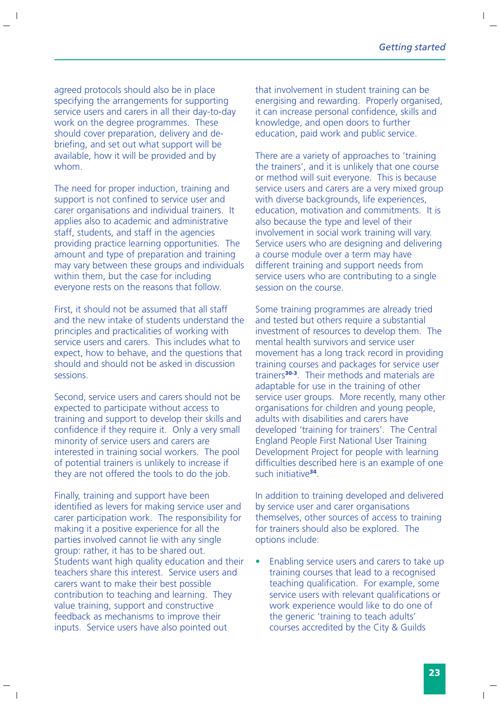agreed protocols should also be in place specifying the arrangements for supporting service users and carers in all their day-to-day work on the degree programmes. These should cover preparation, delivery and debriefing, and set out what support will be available, how it will be provided and by whom.

The need for proper induction, training and support is not confined to service user and carer organisations and individual trainers. It applies also to academic and administrative staff, students, and staff in the agencies providing practice learning opportunities. The amount and type of preparation and training may vary between these groups and individuals within them, but the case for including everyone rests on the reasons that follow.

First, it should not be assumed that all staff and the new intake of students understand the principles and practicalities of working with service users and carers. This includes what to expect, how to behave, and the questions that should and should not be asked in discussion sessions.

Second, service users and carers should not be expected to participate without access to training and support to develop their skills and confidence if they require it. Only a very small minority of service users and carers are interested in training social workers. The pool of potential trainers is unlikely to increase if they are not offered the tools to do the job.

Finally, training and support have been identified as levers for making service user and carer participation work. The responsibility for making it a positive experience for all the parties involved cannot lie with any single group: rather, it has to be shared out. Students want high quality education and their teachers share this interest. Service users and carers want to make their best possible contribution to teaching and learning. They value training, support and constructive feedback as mechanisms to improve their inputs. Service users have also pointed out

that involvement in student training can be energising and rewarding. Properly organised, it can increase personal confidence, skills and knowledge, and open doors to further education, paid work and public service.

There are a variety of approaches to 'training the trainers', and it is unlikely that one course or method will suit everyone. This is because service users and carers are a very mixed group with diverse backgrounds, life experiences, education, motivation and commitments. It is also because the type and level of their involvement in social work training will vary. Service users who are designing and delivering a course module over a term may have different training and support needs from service users who are contributing to a single session on the course.

Some training programmes are already tried and tested but others require a substantial investment of resources to develop them. The mental health survivors and service user movement has a long track record in providing training courses and packages for service user trainers**30-3**. Their methods and materials are adaptable for use in the training of other service user groups. More recently, many other organisations for children and young people, adults with disabilities and carers have developed 'training for trainers'. The Central England People First National User Training Development Project for people with learning difficulties described here is an example of one such initiative**<sup>34</sup>**.

In addition to training developed and delivered by service user and carer organisations themselves, other sources of access to training for trainers should also be explored. The options include:

• Enabling service users and carers to take up training courses that lead to a recognised teaching qualification. For example, some service users with relevant qualifications or work experience would like to do one of the generic 'training to teach adults' courses accredited by the City & Guilds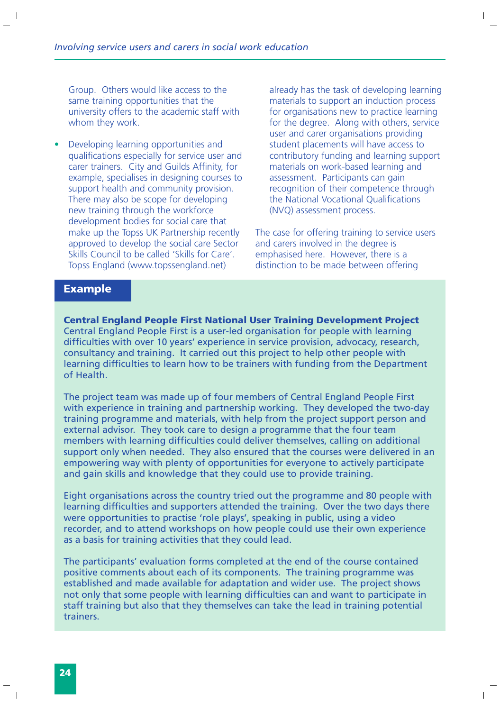Group. Others would like access to the same training opportunities that the university offers to the academic staff with whom they work.

• Developing learning opportunities and qualifications especially for service user and carer trainers. City and Guilds Affinity, for example, specialises in designing courses to support health and community provision. There may also be scope for developing new training through the workforce development bodies for social care that make up the Topss UK Partnership recently approved to develop the social care Sector Skills Council to be called 'Skills for Care'. Topss England (www.topssengland.net)

already has the task of developing learning materials to support an induction process for organisations new to practice learning for the degree. Along with others, service user and carer organisations providing student placements will have access to contributory funding and learning support materials on work-based learning and assessment. Participants can gain recognition of their competence through the National Vocational Qualifications (NVQ) assessment process.

The case for offering training to service users and carers involved in the degree is emphasised here. However, there is a distinction to be made between offering

#### **Example**

**Central England People First National User Training Development Project** Central England People First is a user-led organisation for people with learning difficulties with over 10 years' experience in service provision, advocacy, research, consultancy and training. It carried out this project to help other people with learning difficulties to learn how to be trainers with funding from the Department of Health.

The project team was made up of four members of Central England People First with experience in training and partnership working. They developed the two-day training programme and materials, with help from the project support person and external advisor. They took care to design a programme that the four team members with learning difficulties could deliver themselves, calling on additional support only when needed. They also ensured that the courses were delivered in an empowering way with plenty of opportunities for everyone to actively participate and gain skills and knowledge that they could use to provide training.

Eight organisations across the country tried out the programme and 80 people with learning difficulties and supporters attended the training. Over the two days there were opportunities to practise 'role plays', speaking in public, using a video recorder, and to attend workshops on how people could use their own experience as a basis for training activities that they could lead.

The participants' evaluation forms completed at the end of the course contained positive comments about each of its components. The training programme was established and made available for adaptation and wider use. The project shows not only that some people with learning difficulties can and want to participate in staff training but also that they themselves can take the lead in training potential trainers.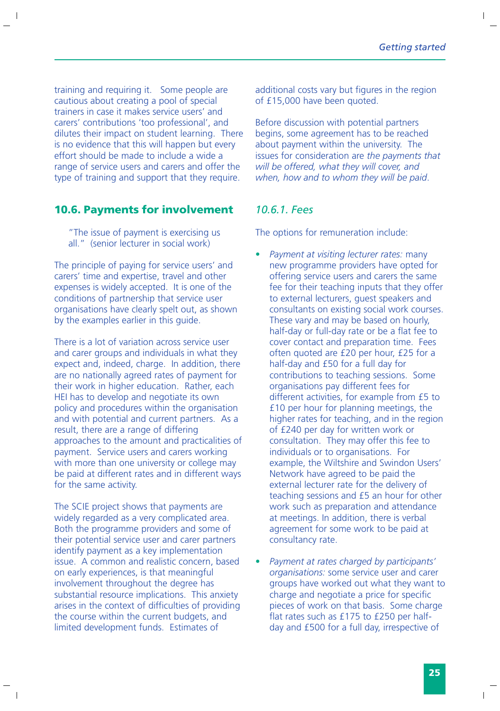training and requiring it. Some people are cautious about creating a pool of special trainers in case it makes service users' and carers' contributions 'too professional', and dilutes their impact on student learning. There is no evidence that this will happen but every effort should be made to include a wide a range of service users and carers and offer the type of training and support that they require.

#### **10.6. Payments for involvement**

"The issue of payment is exercising us all." (senior lecturer in social work)

The principle of paying for service users' and carers' time and expertise, travel and other expenses is widely accepted. It is one of the conditions of partnership that service user organisations have clearly spelt out, as shown by the examples earlier in this guide.

There is a lot of variation across service user and carer groups and individuals in what they expect and, indeed, charge. In addition, there are no nationally agreed rates of payment for their work in higher education. Rather, each HEI has to develop and negotiate its own policy and procedures within the organisation and with potential and current partners. As a result, there are a range of differing approaches to the amount and practicalities of payment. Service users and carers working with more than one university or college may be paid at different rates and in different ways for the same activity.

The SCIE project shows that payments are widely regarded as a very complicated area. Both the programme providers and some of their potential service user and carer partners identify payment as a key implementation issue. A common and realistic concern, based on early experiences, is that meaningful involvement throughout the degree has substantial resource implications. This anxiety arises in the context of difficulties of providing the course within the current budgets, and limited development funds. Estimates of

additional costs vary but figures in the region of £15,000 have been quoted.

Before discussion with potential partners begins, some agreement has to be reached about payment within the university. The issues for consideration are *the payments that will be offered, what they will cover, and when, how and to whom they will be paid*.

#### *10.6.1. Fees*

The options for remuneration include:

- *Payment at visiting lecturer rates:* many new programme providers have opted for offering service users and carers the same fee for their teaching inputs that they offer to external lecturers, guest speakers and consultants on existing social work courses. These vary and may be based on hourly, half-day or full-day rate or be a flat fee to cover contact and preparation time. Fees often quoted are £20 per hour, £25 for a half-day and £50 for a full day for contributions to teaching sessions. Some organisations pay different fees for different activities, for example from £5 to £10 per hour for planning meetings, the higher rates for teaching, and in the region of £240 per day for written work or consultation. They may offer this fee to individuals or to organisations. For example, the Wiltshire and Swindon Users' Network have agreed to be paid the external lecturer rate for the delivery of teaching sessions and £5 an hour for other work such as preparation and attendance at meetings. In addition, there is verbal agreement for some work to be paid at consultancy rate.
- *Payment at rates charged by participants' organisations:* some service user and carer groups have worked out what they want to charge and negotiate a price for specific pieces of work on that basis. Some charge flat rates such as £175 to £250 per halfday and £500 for a full day, irrespective of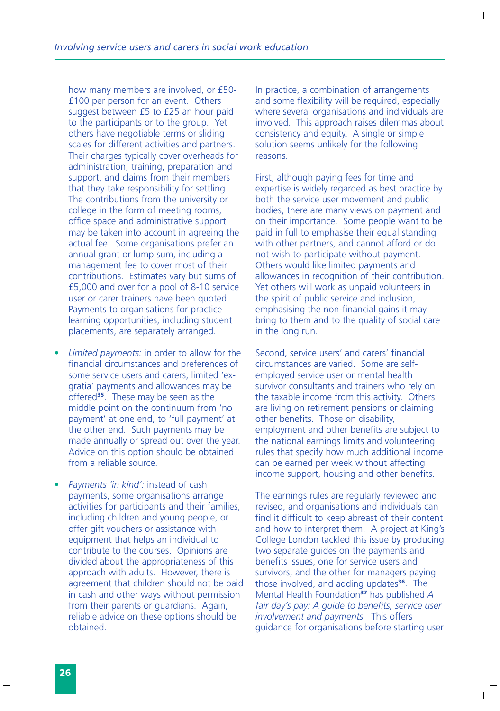how many members are involved, or £50- £100 per person for an event. Others suggest between £5 to £25 an hour paid to the participants or to the group. Yet others have negotiable terms or sliding scales for different activities and partners. Their charges typically cover overheads for administration, training, preparation and support, and claims from their members that they take responsibility for settling. The contributions from the university or college in the form of meeting rooms, office space and administrative support may be taken into account in agreeing the actual fee. Some organisations prefer an annual grant or lump sum, including a management fee to cover most of their contributions. Estimates vary but sums of £5,000 and over for a pool of 8-10 service user or carer trainers have been quoted. Payments to organisations for practice learning opportunities, including student placements, are separately arranged.

- *Limited payments:* in order to allow for the financial circumstances and preferences of some service users and carers, limited 'exgratia' payments and allowances may be offered**<sup>35</sup>**. These may be seen as the middle point on the continuum from 'no payment' at one end, to 'full payment' at the other end. Such payments may be made annually or spread out over the year. Advice on this option should be obtained from a reliable source.
- *Payments 'in kind':* instead of cash payments, some organisations arrange activities for participants and their families, including children and young people, or offer gift vouchers or assistance with equipment that helps an individual to contribute to the courses. Opinions are divided about the appropriateness of this approach with adults. However, there is agreement that children should not be paid in cash and other ways without permission from their parents or guardians. Again, reliable advice on these options should be obtained.

In practice, a combination of arrangements and some flexibility will be required, especially where several organisations and individuals are involved. This approach raises dilemmas about consistency and equity. A single or simple solution seems unlikely for the following reasons.

First, although paying fees for time and expertise is widely regarded as best practice by both the service user movement and public bodies, there are many views on payment and on their importance. Some people want to be paid in full to emphasise their equal standing with other partners, and cannot afford or do not wish to participate without payment. Others would like limited payments and allowances in recognition of their contribution. Yet others will work as unpaid volunteers in the spirit of public service and inclusion, emphasising the non-financial gains it may bring to them and to the quality of social care in the long run.

Second, service users' and carers' financial circumstances are varied. Some are selfemployed service user or mental health survivor consultants and trainers who rely on the taxable income from this activity. Others are living on retirement pensions or claiming other benefits. Those on disability, employment and other benefits are subject to the national earnings limits and volunteering rules that specify how much additional income can be earned per week without affecting income support, housing and other benefits.

The earnings rules are regularly reviewed and revised, and organisations and individuals can find it difficult to keep abreast of their content and how to interpret them. A project at King's College London tackled this issue by producing two separate guides on the payments and benefits issues, one for service users and survivors, and the other for managers paying those involved, and adding updates**<sup>36</sup>**. The Mental Health Foundation**<sup>37</sup>** has published *A fair day's pay: A guide to benefits, service user involvement and payments.* This offers guidance for organisations before starting user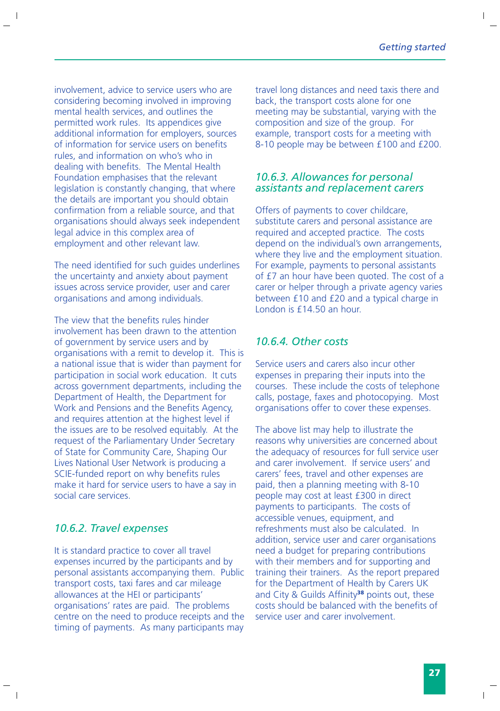involvement, advice to service users who are considering becoming involved in improving mental health services, and outlines the permitted work rules. Its appendices give additional information for employers, sources of information for service users on benefits rules, and information on who's who in dealing with benefits. The Mental Health Foundation emphasises that the relevant legislation is constantly changing, that where the details are important you should obtain confirmation from a reliable source, and that organisations should always seek independent legal advice in this complex area of employment and other relevant law.

The need identified for such quides underlines the uncertainty and anxiety about payment issues across service provider, user and carer organisations and among individuals.

The view that the benefits rules hinder involvement has been drawn to the attention of government by service users and by organisations with a remit to develop it. This is a national issue that is wider than payment for participation in social work education. It cuts across government departments, including the Department of Health, the Department for Work and Pensions and the Benefits Agency, and requires attention at the highest level if the issues are to be resolved equitably. At the request of the Parliamentary Under Secretary of State for Community Care, Shaping Our Lives National User Network is producing a SCIE-funded report on why benefits rules make it hard for service users to have a say in social care services.

#### *10.6.2. Travel expenses*

It is standard practice to cover all travel expenses incurred by the participants and by personal assistants accompanying them. Public transport costs, taxi fares and car mileage allowances at the HEI or participants' organisations' rates are paid. The problems centre on the need to produce receipts and the timing of payments. As many participants may

travel long distances and need taxis there and back, the transport costs alone for one meeting may be substantial, varying with the composition and size of the group. For example, transport costs for a meeting with 8-10 people may be between £100 and £200.

#### *10.6.3. Allowances for personal assistants and replacement carers*

Offers of payments to cover childcare, substitute carers and personal assistance are required and accepted practice. The costs depend on the individual's own arrangements, where they live and the employment situation. For example, payments to personal assistants of £7 an hour have been quoted. The cost of a carer or helper through a private agency varies between £10 and £20 and a typical charge in London is £14.50 an hour.

#### *10.6.4. Other costs*

Service users and carers also incur other expenses in preparing their inputs into the courses. These include the costs of telephone calls, postage, faxes and photocopying. Most organisations offer to cover these expenses.

The above list may help to illustrate the reasons why universities are concerned about the adequacy of resources for full service user and carer involvement. If service users' and carers' fees, travel and other expenses are paid, then a planning meeting with 8-10 people may cost at least £300 in direct payments to participants. The costs of accessible venues, equipment, and refreshments must also be calculated. In addition, service user and carer organisations need a budget for preparing contributions with their members and for supporting and training their trainers. As the report prepared for the Department of Health by Carers UK and City & Guilds Affinity**<sup>38</sup>** points out, these costs should be balanced with the benefits of service user and carer involvement.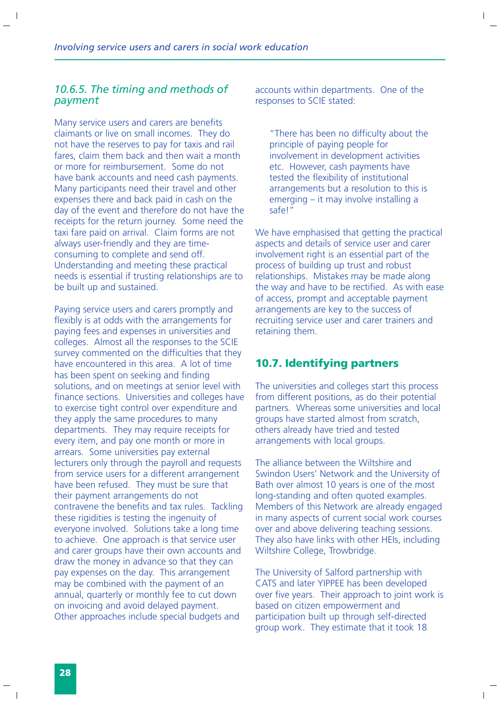#### *10.6.5. The timing and methods of payment*

Many service users and carers are benefits claimants or live on small incomes. They do not have the reserves to pay for taxis and rail fares, claim them back and then wait a month or more for reimbursement. Some do not have bank accounts and need cash payments. Many participants need their travel and other expenses there and back paid in cash on the day of the event and therefore do not have the receipts for the return journey. Some need the taxi fare paid on arrival. Claim forms are not always user-friendly and they are timeconsuming to complete and send off. Understanding and meeting these practical needs is essential if trusting relationships are to be built up and sustained.

Paying service users and carers promptly and flexibly is at odds with the arrangements for paying fees and expenses in universities and colleges. Almost all the responses to the SCIE survey commented on the difficulties that they have encountered in this area. A lot of time has been spent on seeking and finding solutions, and on meetings at senior level with finance sections. Universities and colleges have to exercise tight control over expenditure and they apply the same procedures to many departments. They may require receipts for every item, and pay one month or more in arrears. Some universities pay external lecturers only through the payroll and requests from service users for a different arrangement have been refused. They must be sure that their payment arrangements do not contravene the benefits and tax rules. Tackling these rigidities is testing the ingenuity of everyone involved. Solutions take a long time to achieve. One approach is that service user and carer groups have their own accounts and draw the money in advance so that they can pay expenses on the day. This arrangement may be combined with the payment of an annual, quarterly or monthly fee to cut down on invoicing and avoid delayed payment. Other approaches include special budgets and

accounts within departments. One of the responses to SCIE stated:

"There has been no difficulty about the principle of paying people for involvement in development activities etc. However, cash payments have tested the flexibility of institutional arrangements but a resolution to this is emerging – it may involve installing a safe!"

We have emphasised that getting the practical aspects and details of service user and carer involvement right is an essential part of the process of building up trust and robust relationships. Mistakes may be made along the way and have to be rectified. As with ease of access, prompt and acceptable payment arrangements are key to the success of recruiting service user and carer trainers and retaining them.

#### **10.7. Identifying partners**

The universities and colleges start this process from different positions, as do their potential partners. Whereas some universities and local groups have started almost from scratch, others already have tried and tested arrangements with local groups.

The alliance between the Wiltshire and Swindon Users' Network and the University of Bath over almost 10 years is one of the most long-standing and often quoted examples. Members of this Network are already engaged in many aspects of current social work courses over and above delivering teaching sessions. They also have links with other HEIs, including Wiltshire College, Trowbridge.

The University of Salford partnership with CATS and later YIPPEE has been developed over five years. Their approach to joint work is based on citizen empowerment and participation built up through self-directed group work. They estimate that it took 18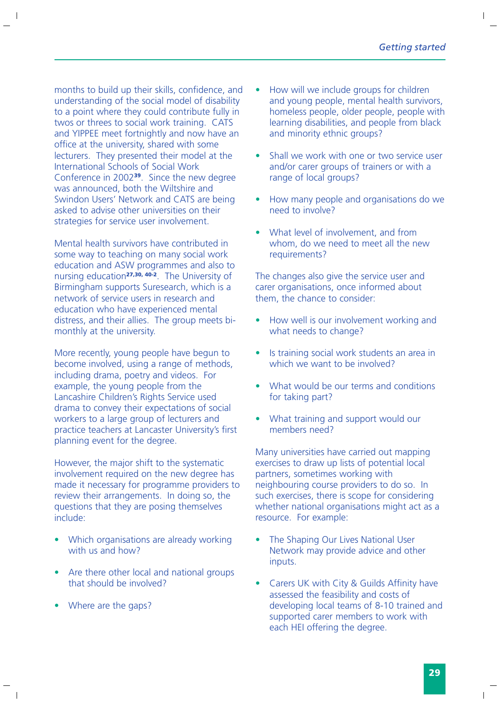months to build up their skills, confidence, and understanding of the social model of disability to a point where they could contribute fully in twos or threes to social work training. CATS and YIPPEE meet fortnightly and now have an office at the university, shared with some lecturers. They presented their model at the International Schools of Social Work Conference in 2002**<sup>39</sup>**. Since the new degree was announced, both the Wiltshire and Swindon Users' Network and CATS are being asked to advise other universities on their strategies for service user involvement.

Mental health survivors have contributed in some way to teaching on many social work education and ASW programmes and also to nursing education**27,30, 40-2**. The University of Birmingham supports Suresearch, which is a network of service users in research and education who have experienced mental distress, and their allies. The group meets bimonthly at the university.

More recently, young people have begun to become involved, using a range of methods, including drama, poetry and videos. For example, the young people from the Lancashire Children's Rights Service used drama to convey their expectations of social workers to a large group of lecturers and practice teachers at Lancaster University's first planning event for the degree.

However, the major shift to the systematic involvement required on the new degree has made it necessary for programme providers to review their arrangements. In doing so, the questions that they are posing themselves include:

- Which organisations are already working with us and how?
- Are there other local and national groups that should be involved?
- Where are the gaps?
- How will we include groups for children and young people, mental health survivors, homeless people, older people, people with learning disabilities, and people from black and minority ethnic groups?
- Shall we work with one or two service user and/or carer groups of trainers or with a range of local groups?
- How many people and organisations do we need to involve?
- What level of involvement, and from whom, do we need to meet all the new requirements?

The changes also give the service user and carer organisations, once informed about them, the chance to consider:

- How well is our involvement working and what needs to change?
- Is training social work students an area in which we want to be involved?
- What would be our terms and conditions for taking part?
- What training and support would our members need?

Many universities have carried out mapping exercises to draw up lists of potential local partners, sometimes working with neighbouring course providers to do so. In such exercises, there is scope for considering whether national organisations might act as a resource. For example:

- The Shaping Our Lives National User Network may provide advice and other inputs.
- Carers UK with City & Guilds Affinity have assessed the feasibility and costs of developing local teams of 8-10 trained and supported carer members to work with each HEI offering the degree.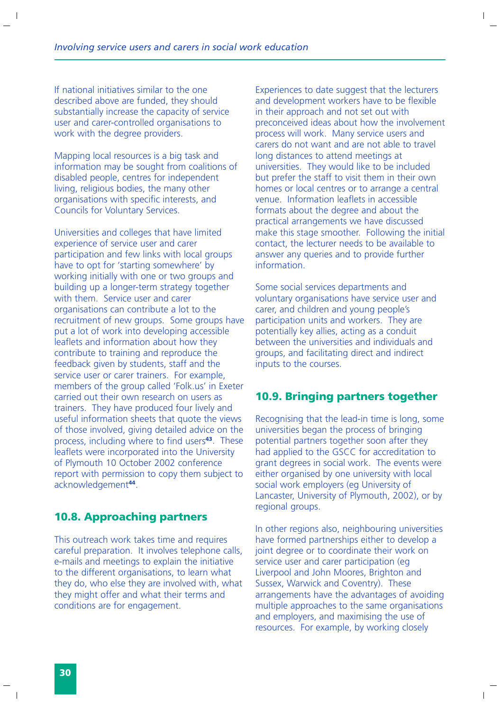If national initiatives similar to the one described above are funded, they should substantially increase the capacity of service user and carer-controlled organisations to work with the degree providers.

Mapping local resources is a big task and information may be sought from coalitions of disabled people, centres for independent living, religious bodies, the many other organisations with specific interests, and Councils for Voluntary Services.

Universities and colleges that have limited experience of service user and carer participation and few links with local groups have to opt for 'starting somewhere' by working initially with one or two groups and building up a longer-term strategy together with them. Service user and carer organisations can contribute a lot to the recruitment of new groups. Some groups have put a lot of work into developing accessible leaflets and information about how they contribute to training and reproduce the feedback given by students, staff and the service user or carer trainers. For example, members of the group called 'Folk.us' in Exeter carried out their own research on users as trainers. They have produced four lively and useful information sheets that quote the views of those involved, giving detailed advice on the process, including where to find users**<sup>43</sup>**. These leaflets were incorporated into the University of Plymouth 10 October 2002 conference report with permission to copy them subject to acknowledgement**<sup>44</sup>**.

#### **10.8. Approaching partners**

This outreach work takes time and requires careful preparation. It involves telephone calls, e-mails and meetings to explain the initiative to the different organisations, to learn what they do, who else they are involved with, what they might offer and what their terms and conditions are for engagement.

Experiences to date suggest that the lecturers and development workers have to be flexible in their approach and not set out with preconceived ideas about how the involvement process will work. Many service users and carers do not want and are not able to travel long distances to attend meetings at universities. They would like to be included but prefer the staff to visit them in their own homes or local centres or to arrange a central venue. Information leaflets in accessible formats about the degree and about the practical arrangements we have discussed make this stage smoother. Following the initial contact, the lecturer needs to be available to answer any queries and to provide further information.

Some social services departments and voluntary organisations have service user and carer, and children and young people's participation units and workers. They are potentially key allies, acting as a conduit between the universities and individuals and groups, and facilitating direct and indirect inputs to the courses.

#### **10.9. Bringing partners together**

Recognising that the lead-in time is long, some universities began the process of bringing potential partners together soon after they had applied to the GSCC for accreditation to grant degrees in social work. The events were either organised by one university with local social work employers (eg University of Lancaster, University of Plymouth, 2002), or by regional groups.

In other regions also, neighbouring universities have formed partnerships either to develop a joint degree or to coordinate their work on service user and carer participation (eg Liverpool and John Moores, Brighton and Sussex, Warwick and Coventry). These arrangements have the advantages of avoiding multiple approaches to the same organisations and employers, and maximising the use of resources. For example, by working closely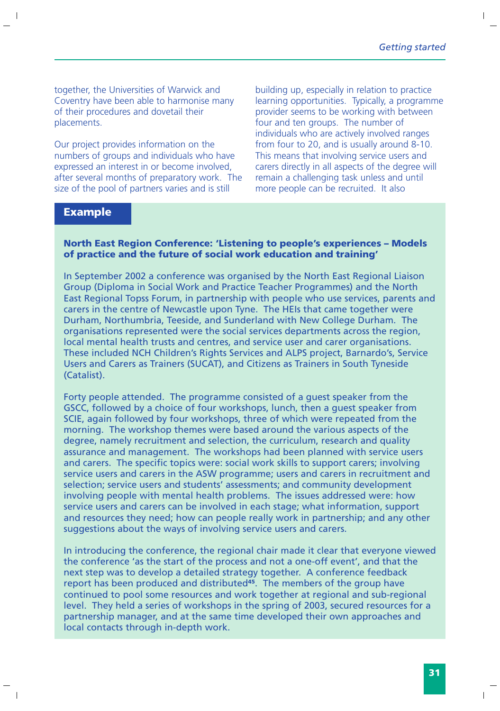together, the Universities of Warwick and Coventry have been able to harmonise many of their procedures and dovetail their placements.

Our project provides information on the numbers of groups and individuals who have expressed an interest in or become involved, after several months of preparatory work. The size of the pool of partners varies and is still

building up, especially in relation to practice learning opportunities. Typically, a programme provider seems to be working with between four and ten groups. The number of individuals who are actively involved ranges from four to 20, and is usually around 8-10. This means that involving service users and carers directly in all aspects of the degree will remain a challenging task unless and until more people can be recruited. It also

#### **Example**

#### **North East Region Conference: 'Listening to people's experiences – Models of practice and the future of social work education and training'**

In September 2002 a conference was organised by the North East Regional Liaison Group (Diploma in Social Work and Practice Teacher Programmes) and the North East Regional Topss Forum, in partnership with people who use services, parents and carers in the centre of Newcastle upon Tyne. The HEIs that came together were Durham, Northumbria, Teeside, and Sunderland with New College Durham. The organisations represented were the social services departments across the region, local mental health trusts and centres, and service user and carer organisations. These included NCH Children's Rights Services and ALPS project, Barnardo's, Service Users and Carers as Trainers (SUCAT), and Citizens as Trainers in South Tyneside (Catalist).

Forty people attended. The programme consisted of a guest speaker from the GSCC, followed by a choice of four workshops, lunch, then a guest speaker from SCIE, again followed by four workshops, three of which were repeated from the morning. The workshop themes were based around the various aspects of the degree, namely recruitment and selection, the curriculum, research and quality assurance and management. The workshops had been planned with service users and carers. The specific topics were: social work skills to support carers; involving service users and carers in the ASW programme; users and carers in recruitment and selection; service users and students' assessments; and community development involving people with mental health problems. The issues addressed were: how service users and carers can be involved in each stage; what information, support and resources they need; how can people really work in partnership; and any other suggestions about the ways of involving service users and carers.

In introducing the conference, the regional chair made it clear that everyone viewed the conference 'as the start of the process and not a one-off event', and that the next step was to develop a detailed strategy together. A conference feedback report has been produced and distributed**<sup>45</sup>**. The members of the group have continued to pool some resources and work together at regional and sub-regional level. They held a series of workshops in the spring of 2003, secured resources for a partnership manager, and at the same time developed their own approaches and local contacts through in-depth work.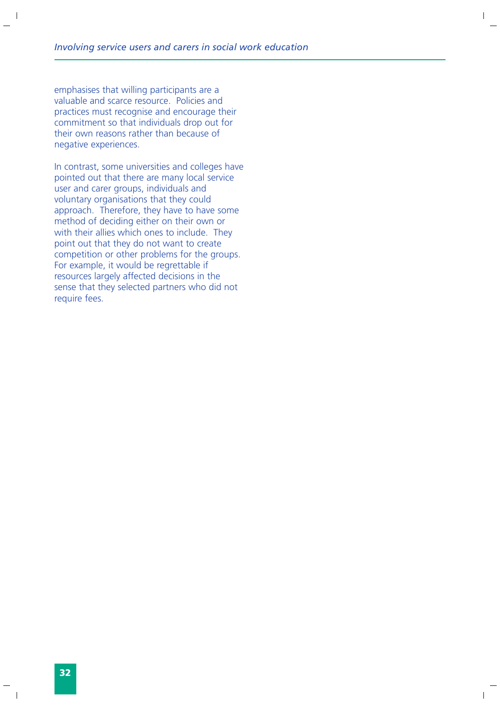emphasises that willing participants are a valuable and scarce resource. Policies and practices must recognise and encourage their commitment so that individuals drop out for their own reasons rather than because of negative experiences.

In contrast, some universities and colleges have pointed out that there are many local service user and carer groups, individuals and voluntary organisations that they could approach. Therefore, they have to have some method of deciding either on their own or with their allies which ones to include. They point out that they do not want to create competition or other problems for the groups. For example, it would be regrettable if resources largely affected decisions in the sense that they selected partners who did not require fees.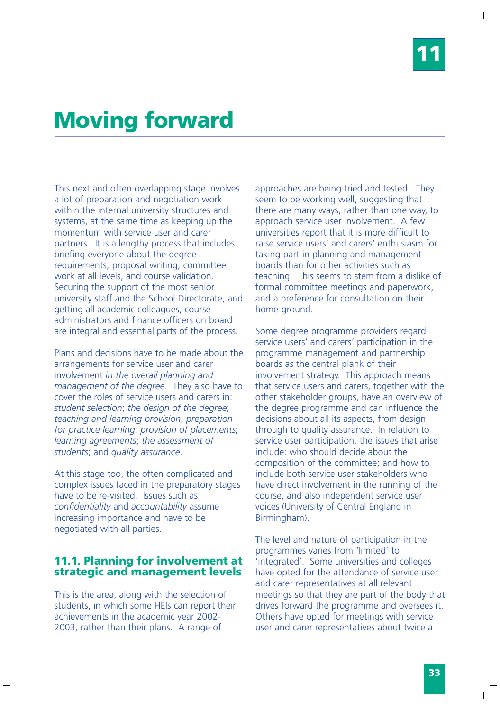## **Moving forward**

This next and often overlapping stage involves a lot of preparation and negotiation work within the internal university structures and systems, at the same time as keeping up the momentum with service user and carer partners. It is a lengthy process that includes briefing everyone about the degree requirements, proposal writing, committee work at all levels, and course validation. Securing the support of the most senior university staff and the School Directorate, and getting all academic colleagues, course administrators and finance officers on board are integral and essential parts of the process.

Plans and decisions have to be made about the arrangements for service user and carer involvement *in the overall planning and management of the degree*. They also have to cover the roles of service users and carers in: *student selection*; *the design of the degree*; *teaching and learning provision*; *preparation for practice learning*; *provision of placements*; *learning agreements*; *the assessment of students*; and *quality assurance*.

At this stage too, the often complicated and complex issues faced in the preparatory stages have to be re-visited. Issues such as *confidentiality* and *accountability* assume increasing importance and have to be negotiated with all parties.

#### **11.1. Planning for involvement at strategic and management levels**

This is the area, along with the selection of students, in which some HEIs can report their achievements in the academic year 2002- 2003, rather than their plans. A range of

approaches are being tried and tested. They seem to be working well, suggesting that there are many ways, rather than one way, to approach service user involvement. A few universities report that it is more difficult to raise service users' and carers' enthusiasm for taking part in planning and management boards than for other activities such as teaching. This seems to stem from a dislike of formal committee meetings and paperwork, and a preference for consultation on their home ground.

Some degree programme providers regard service users' and carers' participation in the programme management and partnership boards as the central plank of their involvement strategy. This approach means that service users and carers, together with the other stakeholder groups, have an overview of the degree programme and can influence the decisions about all its aspects, from design through to quality assurance. In relation to service user participation, the issues that arise include: who should decide about the composition of the committee; and how to include both service user stakeholders who have direct involvement in the running of the course, and also independent service user voices (University of Central England in Birmingham).

The level and nature of participation in the programmes varies from 'limited' to 'integrated'. Some universities and colleges have opted for the attendance of service user and carer representatives at all relevant meetings so that they are part of the body that drives forward the programme and oversees it. Others have opted for meetings with service user and carer representatives about twice a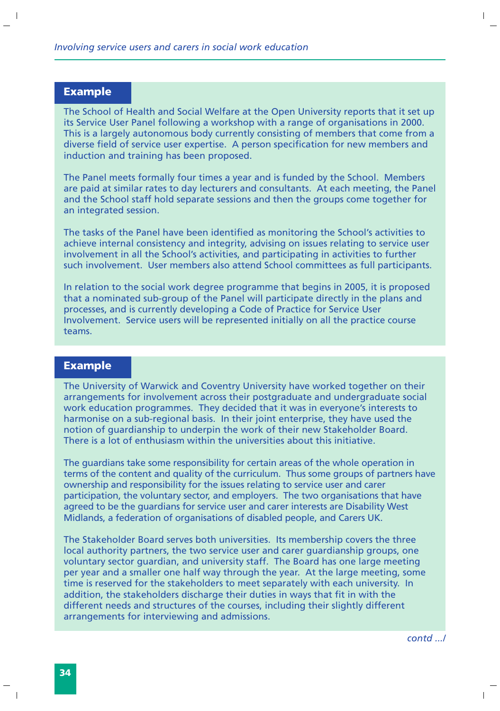The School of Health and Social Welfare at the Open University reports that it set up its Service User Panel following a workshop with a range of organisations in 2000. This is a largely autonomous body currently consisting of members that come from a diverse field of service user expertise. A person specification for new members and induction and training has been proposed.

The Panel meets formally four times a year and is funded by the School. Members are paid at similar rates to day lecturers and consultants. At each meeting, the Panel and the School staff hold separate sessions and then the groups come together for an integrated session.

The tasks of the Panel have been identified as monitoring the School's activities to achieve internal consistency and integrity, advising on issues relating to service user involvement in all the School's activities, and participating in activities to further such involvement. User members also attend School committees as full participants.

In relation to the social work degree programme that begins in 2005, it is proposed that a nominated sub-group of the Panel will participate directly in the plans and processes, and is currently developing a Code of Practice for Service User Involvement. Service users will be represented initially on all the practice course teams.

#### **Example**

The University of Warwick and Coventry University have worked together on their arrangements for involvement across their postgraduate and undergraduate social work education programmes. They decided that it was in everyone's interests to harmonise on a sub-regional basis. In their joint enterprise, they have used the notion of guardianship to underpin the work of their new Stakeholder Board. There is a lot of enthusiasm within the universities about this initiative.

The guardians take some responsibility for certain areas of the whole operation in terms of the content and quality of the curriculum. Thus some groups of partners have ownership and responsibility for the issues relating to service user and carer participation, the voluntary sector, and employers. The two organisations that have agreed to be the guardians for service user and carer interests are Disability West Midlands, a federation of organisations of disabled people, and Carers UK.

The Stakeholder Board serves both universities. Its membership covers the three local authority partners, the two service user and carer guardianship groups, one voluntary sector guardian, and university staff. The Board has one large meeting per year and a smaller one half way through the year. At the large meeting, some time is reserved for the stakeholders to meet separately with each university. In addition, the stakeholders discharge their duties in ways that fit in with the different needs and structures of the courses, including their slightly different arrangements for interviewing and admissions.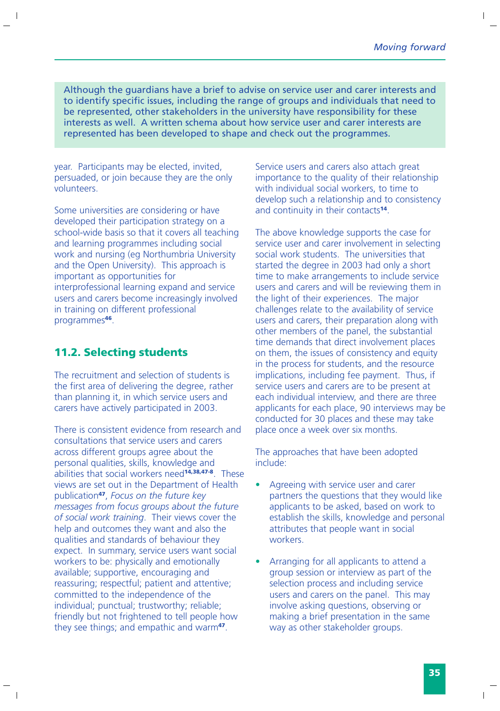Although the guardians have a brief to advise on service user and carer interests and to identify specific issues, including the range of groups and individuals that need to be represented, other stakeholders in the university have responsibility for these interests as well. A written schema about how service user and carer interests are represented has been developed to shape and check out the programmes.

year. Participants may be elected, invited, persuaded, or join because they are the only volunteers.

Some universities are considering or have developed their participation strategy on a school-wide basis so that it covers all teaching and learning programmes including social work and nursing (eg Northumbria University and the Open University). This approach is important as opportunities for interprofessional learning expand and service users and carers become increasingly involved in training on different professional programmes**<sup>46</sup>**.

#### **11.2. Selecting students**

The recruitment and selection of students is the first area of delivering the degree, rather than planning it, in which service users and carers have actively participated in 2003.

There is consistent evidence from research and consultations that service users and carers across different groups agree about the personal qualities, skills, knowledge and abilities that social workers need**14,38,47-8**. These views are set out in the Department of Health publication**<sup>47</sup>**, *Focus on the future key messages from focus groups about the future of social work training*. Their views cover the help and outcomes they want and also the qualities and standards of behaviour they expect. In summary, service users want social workers to be: physically and emotionally available; supportive, encouraging and reassuring; respectful; patient and attentive; committed to the independence of the individual; punctual; trustworthy; reliable; friendly but not frightened to tell people how they see things; and empathic and warm**<sup>47</sup>**.

Service users and carers also attach great importance to the quality of their relationship with individual social workers, to time to develop such a relationship and to consistency and continuity in their contacts**<sup>14</sup>**.

The above knowledge supports the case for service user and carer involvement in selecting social work students. The universities that started the degree in 2003 had only a short time to make arrangements to include service users and carers and will be reviewing them in the light of their experiences. The major challenges relate to the availability of service users and carers, their preparation along with other members of the panel, the substantial time demands that direct involvement places on them, the issues of consistency and equity in the process for students, and the resource implications, including fee payment. Thus, if service users and carers are to be present at each individual interview, and there are three applicants for each place, 90 interviews may be conducted for 30 places and these may take place once a week over six months.

The approaches that have been adopted include:

- Agreeing with service user and carer partners the questions that they would like applicants to be asked, based on work to establish the skills, knowledge and personal attributes that people want in social workers.
- Arranging for all applicants to attend a group session or interview as part of the selection process and including service users and carers on the panel. This may involve asking questions, observing or making a brief presentation in the same way as other stakeholder groups.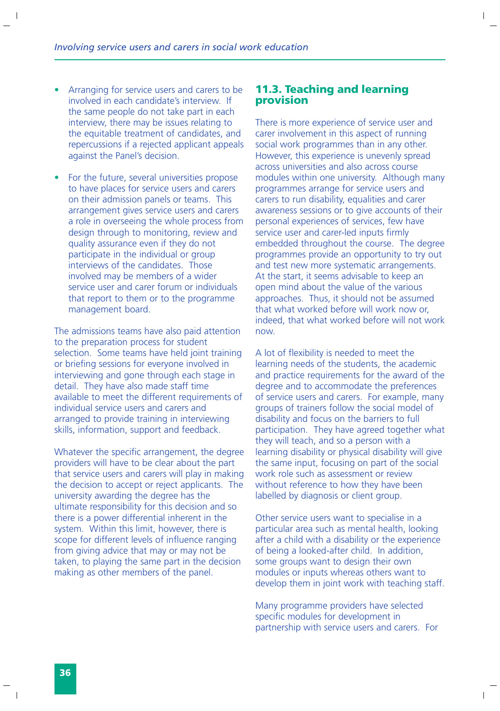- Arranging for service users and carers to be involved in each candidate's interview. If the same people do not take part in each interview, there may be issues relating to the equitable treatment of candidates, and repercussions if a rejected applicant appeals against the Panel's decision.
- For the future, several universities propose to have places for service users and carers on their admission panels or teams. This arrangement gives service users and carers a role in overseeing the whole process from design through to monitoring, review and quality assurance even if they do not participate in the individual or group interviews of the candidates. Those involved may be members of a wider service user and carer forum or individuals that report to them or to the programme management board.

The admissions teams have also paid attention to the preparation process for student selection. Some teams have held joint training or briefing sessions for everyone involved in interviewing and gone through each stage in detail. They have also made staff time available to meet the different requirements of individual service users and carers and arranged to provide training in interviewing skills, information, support and feedback.

Whatever the specific arrangement, the degree providers will have to be clear about the part that service users and carers will play in making the decision to accept or reject applicants. The university awarding the degree has the ultimate responsibility for this decision and so there is a power differential inherent in the system. Within this limit, however, there is scope for different levels of influence ranging from giving advice that may or may not be taken, to playing the same part in the decision making as other members of the panel.

#### **11.3. Teaching and learning provision**

There is more experience of service user and carer involvement in this aspect of running social work programmes than in any other. However, this experience is unevenly spread across universities and also across course modules within one university. Although many programmes arrange for service users and carers to run disability, equalities and carer awareness sessions or to give accounts of their personal experiences of services, few have service user and carer-led inputs firmly embedded throughout the course. The degree programmes provide an opportunity to try out and test new more systematic arrangements. At the start, it seems advisable to keep an open mind about the value of the various approaches. Thus, it should not be assumed that what worked before will work now or, indeed, that what worked before will not work now.

A lot of flexibility is needed to meet the learning needs of the students, the academic and practice requirements for the award of the degree and to accommodate the preferences of service users and carers. For example, many groups of trainers follow the social model of disability and focus on the barriers to full participation. They have agreed together what they will teach, and so a person with a learning disability or physical disability will give the same input, focusing on part of the social work role such as assessment or review without reference to how they have been labelled by diagnosis or client group.

Other service users want to specialise in a particular area such as mental health, looking after a child with a disability or the experience of being a looked-after child. In addition, some groups want to design their own modules or inputs whereas others want to develop them in joint work with teaching staff.

Many programme providers have selected specific modules for development in partnership with service users and carers. For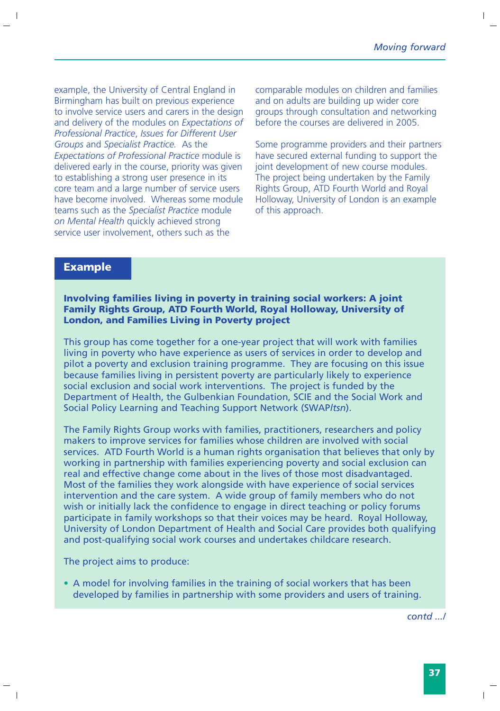example, the University of Central England in Birmingham has built on previous experience to involve service users and carers in the design and delivery of the modules on *Expectations of Professional Practice*, *Issues for Different User Groups* and *Specialist Practice.* As the *Expectations of Professional Practice* module is delivered early in the course, priority was given to establishing a strong user presence in its core team and a large number of service users have become involved. Whereas some module teams such as the *Specialist Practice* module *on Mental Health* quickly achieved strong service user involvement, others such as the

comparable modules on children and families and on adults are building up wider core groups through consultation and networking before the courses are delivered in 2005.

Some programme providers and their partners have secured external funding to support the joint development of new course modules. The project being undertaken by the Family Rights Group, ATD Fourth World and Royal Holloway, University of London is an example of this approach.

#### **Example**

**Involving families living in poverty in training social workers: A joint Family Rights Group, ATD Fourth World, Royal Holloway, University of London, and Families Living in Poverty project**

This group has come together for a one-year project that will work with families living in poverty who have experience as users of services in order to develop and pilot a poverty and exclusion training programme. They are focusing on this issue because families living in persistent poverty are particularly likely to experience social exclusion and social work interventions. The project is funded by the Department of Health, the Gulbenkian Foundation, SCIE and the Social Work and Social Policy Learning and Teaching Support Network (SWAP*ltsn*).

The Family Rights Group works with families, practitioners, researchers and policy makers to improve services for families whose children are involved with social services. ATD Fourth World is a human rights organisation that believes that only by working in partnership with families experiencing poverty and social exclusion can real and effective change come about in the lives of those most disadvantaged. Most of the families they work alongside with have experience of social services intervention and the care system. A wide group of family members who do not wish or initially lack the confidence to engage in direct teaching or policy forums participate in family workshops so that their voices may be heard. Royal Holloway, University of London Department of Health and Social Care provides both qualifying and post-qualifying social work courses and undertakes childcare research.

The project aims to produce:

• A model for involving families in the training of social workers that has been developed by families in partnership with some providers and users of training.

*contd .../*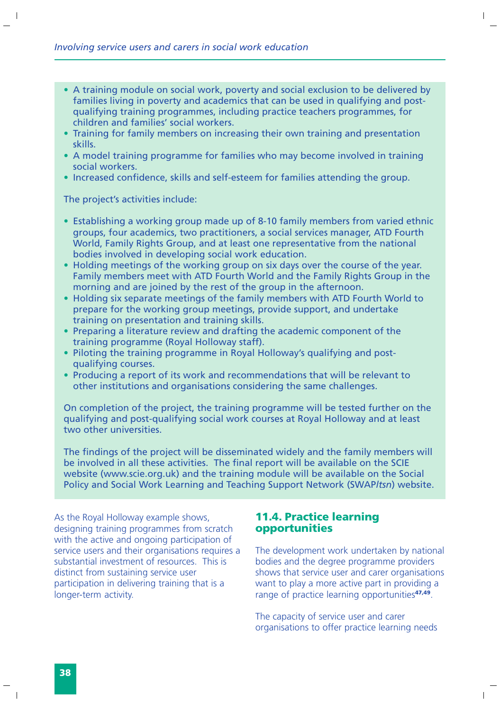- A training module on social work, poverty and social exclusion to be delivered by families living in poverty and academics that can be used in qualifying and postqualifying training programmes, including practice teachers programmes, for children and families' social workers.
- Training for family members on increasing their own training and presentation skills.
- A model training programme for families who may become involved in training social workers.
- Increased confidence, skills and self-esteem for families attending the group.

The project's activities include:

- Establishing a working group made up of 8-10 family members from varied ethnic groups, four academics, two practitioners, a social services manager, ATD Fourth World, Family Rights Group, and at least one representative from the national bodies involved in developing social work education.
- Holding meetings of the working group on six days over the course of the year. Family members meet with ATD Fourth World and the Family Rights Group in the morning and are joined by the rest of the group in the afternoon.
- Holding six separate meetings of the family members with ATD Fourth World to prepare for the working group meetings, provide support, and undertake training on presentation and training skills.
- Preparing a literature review and drafting the academic component of the training programme (Royal Holloway staff).
- Piloting the training programme in Royal Holloway's qualifying and postqualifying courses.
- Producing a report of its work and recommendations that will be relevant to other institutions and organisations considering the same challenges.

On completion of the project, the training programme will be tested further on the qualifying and post-qualifying social work courses at Royal Holloway and at least two other universities.

The findings of the project will be disseminated widely and the family members will be involved in all these activities. The final report will be available on the SCIE website (www.scie.org.uk) and the training module will be available on the Social Policy and Social Work Learning and Teaching Support Network (SWAP*ltsn*) website.

As the Royal Holloway example shows, designing training programmes from scratch with the active and ongoing participation of service users and their organisations requires a substantial investment of resources. This is distinct from sustaining service user participation in delivering training that is a longer-term activity.

#### **11.4. Practice learning opportunities**

The development work undertaken by national bodies and the degree programme providers shows that service user and carer organisations want to play a more active part in providing a range of practice learning opportunities**47,49**.

The capacity of service user and carer organisations to offer practice learning needs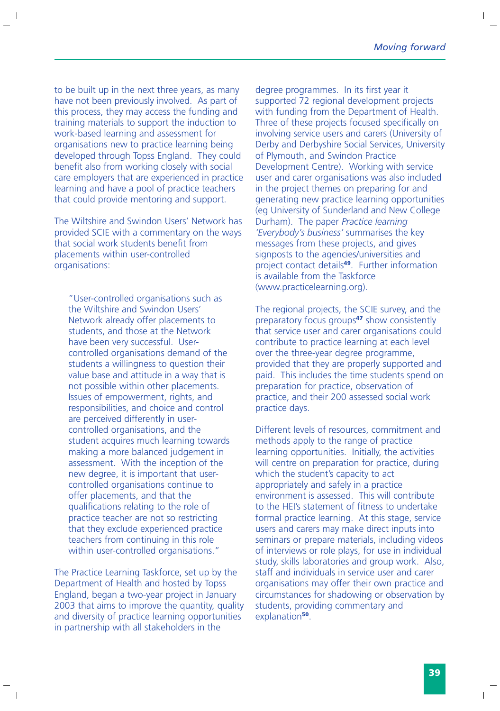to be built up in the next three years, as many have not been previously involved. As part of this process, they may access the funding and training materials to support the induction to work-based learning and assessment for organisations new to practice learning being developed through Topss England. They could benefit also from working closely with social care employers that are experienced in practice learning and have a pool of practice teachers that could provide mentoring and support.

The Wiltshire and Swindon Users' Network has provided SCIE with a commentary on the ways that social work students benefit from placements within user-controlled organisations:

"User-controlled organisations such as the Wiltshire and Swindon Users' Network already offer placements to students, and those at the Network have been very successful. Usercontrolled organisations demand of the students a willingness to question their value base and attitude in a way that is not possible within other placements. Issues of empowerment, rights, and responsibilities, and choice and control are perceived differently in usercontrolled organisations, and the student acquires much learning towards making a more balanced judgement in assessment. With the inception of the new degree, it is important that usercontrolled organisations continue to offer placements, and that the qualifications relating to the role of practice teacher are not so restricting that they exclude experienced practice teachers from continuing in this role within user-controlled organisations."

The Practice Learning Taskforce, set up by the Department of Health and hosted by Topss England, began a two-year project in January 2003 that aims to improve the quantity, quality and diversity of practice learning opportunities in partnership with all stakeholders in the

degree programmes. In its first year it supported 72 regional development projects with funding from the Department of Health. Three of these projects focused specifically on involving service users and carers (University of Derby and Derbyshire Social Services, University of Plymouth, and Swindon Practice Development Centre). Working with service user and carer organisations was also included in the project themes on preparing for and generating new practice learning opportunities (eg University of Sunderland and New College Durham). The paper *Practice learning 'Everybody's business'* summarises the key messages from these projects, and gives signposts to the agencies/universities and project contact details**<sup>49</sup>**. Further information is available from the Taskforce (www.practicelearning.org).

The regional projects, the SCIE survey, and the preparatory focus groups**<sup>47</sup>** show consistently that service user and carer organisations could contribute to practice learning at each level over the three-year degree programme, provided that they are properly supported and paid. This includes the time students spend on preparation for practice, observation of practice, and their 200 assessed social work practice days.

Different levels of resources, commitment and methods apply to the range of practice learning opportunities. Initially, the activities will centre on preparation for practice, during which the student's capacity to act appropriately and safely in a practice environment is assessed. This will contribute to the HEI's statement of fitness to undertake formal practice learning. At this stage, service users and carers may make direct inputs into seminars or prepare materials, including videos of interviews or role plays, for use in individual study, skills laboratories and group work. Also, staff and individuals in service user and carer organisations may offer their own practice and circumstances for shadowing or observation by students, providing commentary and explanation**50**.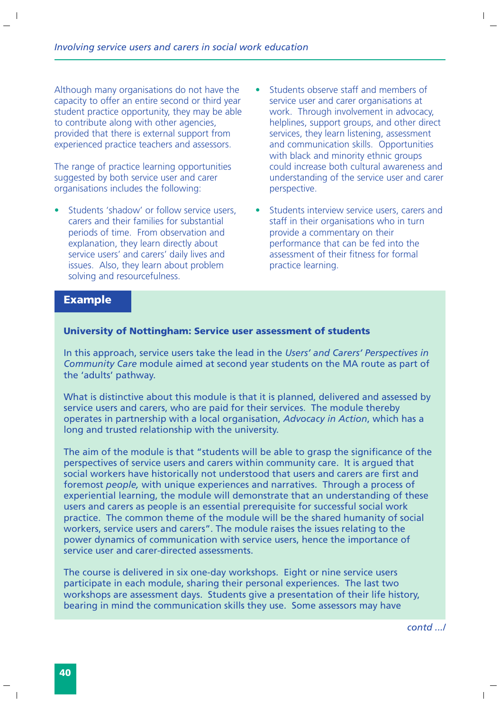Although many organisations do not have the capacity to offer an entire second or third year student practice opportunity, they may be able to contribute along with other agencies, provided that there is external support from experienced practice teachers and assessors.

The range of practice learning opportunities suggested by both service user and carer organisations includes the following:

- Students 'shadow' or follow service users. carers and their families for substantial periods of time. From observation and explanation, they learn directly about service users' and carers' daily lives and issues. Also, they learn about problem solving and resourcefulness.
- Students observe staff and members of service user and carer organisations at work. Through involvement in advocacy, helplines, support groups, and other direct services, they learn listening, assessment and communication skills. Opportunities with black and minority ethnic groups could increase both cultural awareness and understanding of the service user and carer perspective.
- Students interview service users, carers and staff in their organisations who in turn provide a commentary on their performance that can be fed into the assessment of their fitness for formal practice learning.

#### **Example**

#### **University of Nottingham: Service user assessment of students**

In this approach, service users take the lead in the *Users' and Carers' Perspectives in Community Care* module aimed at second year students on the MA route as part of the 'adults' pathway.

What is distinctive about this module is that it is planned, delivered and assessed by service users and carers, who are paid for their services. The module thereby operates in partnership with a local organisation, *Advocacy in Action*, which has a long and trusted relationship with the university.

The aim of the module is that "students will be able to grasp the significance of the perspectives of service users and carers within community care. It is argued that social workers have historically not understood that users and carers are first and foremost *people,* with unique experiences and narratives. Through a process of experiential learning, the module will demonstrate that an understanding of these users and carers as people is an essential prerequisite for successful social work practice. The common theme of the module will be the shared humanity of social workers, service users and carers". The module raises the issues relating to the power dynamics of communication with service users, hence the importance of service user and carer-directed assessments.

The course is delivered in six one-day workshops. Eight or nine service users participate in each module, sharing their personal experiences. The last two workshops are assessment days. Students give a presentation of their life history, bearing in mind the communication skills they use. Some assessors may have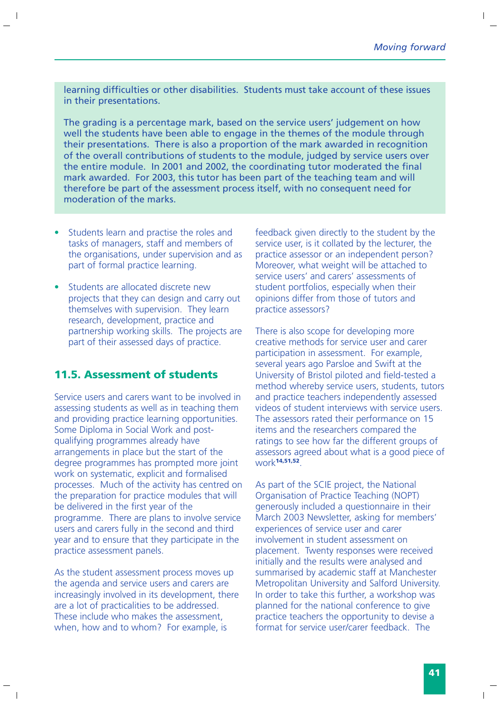learning difficulties or other disabilities. Students must take account of these issues in their presentations.

The grading is a percentage mark, based on the service users' judgement on how well the students have been able to engage in the themes of the module through their presentations. There is also a proportion of the mark awarded in recognition of the overall contributions of students to the module, judged by service users over the entire module. In 2001 and 2002, the coordinating tutor moderated the final mark awarded. For 2003, this tutor has been part of the teaching team and will therefore be part of the assessment process itself, with no consequent need for moderation of the marks.

- Students learn and practise the roles and tasks of managers, staff and members of the organisations, under supervision and as part of formal practice learning.
- Students are allocated discrete new projects that they can design and carry out themselves with supervision. They learn research, development, practice and partnership working skills. The projects are part of their assessed days of practice.

#### **11.5. Assessment of students**

Service users and carers want to be involved in assessing students as well as in teaching them and providing practice learning opportunities. Some Diploma in Social Work and postqualifying programmes already have arrangements in place but the start of the degree programmes has prompted more joint work on systematic, explicit and formalised processes. Much of the activity has centred on the preparation for practice modules that will be delivered in the first year of the programme. There are plans to involve service users and carers fully in the second and third year and to ensure that they participate in the practice assessment panels.

As the student assessment process moves up the agenda and service users and carers are increasingly involved in its development, there are a lot of practicalities to be addressed. These include who makes the assessment, when, how and to whom? For example, is

feedback given directly to the student by the service user, is it collated by the lecturer, the practice assessor or an independent person? Moreover, what weight will be attached to service users' and carers' assessments of student portfolios, especially when their opinions differ from those of tutors and practice assessors?

There is also scope for developing more creative methods for service user and carer participation in assessment. For example, several years ago Parsloe and Swift at the University of Bristol piloted and field-tested a method whereby service users, students, tutors and practice teachers independently assessed videos of student interviews with service users. The assessors rated their performance on 15 items and the researchers compared the ratings to see how far the different groups of assessors agreed about what is a good piece of work**14,51,52**.

As part of the SCIE project, the National Organisation of Practice Teaching (NOPT) generously included a questionnaire in their March 2003 Newsletter, asking for members' experiences of service user and carer involvement in student assessment on placement. Twenty responses were received initially and the results were analysed and summarised by academic staff at Manchester Metropolitan University and Salford University. In order to take this further, a workshop was planned for the national conference to give practice teachers the opportunity to devise a format for service user/carer feedback. The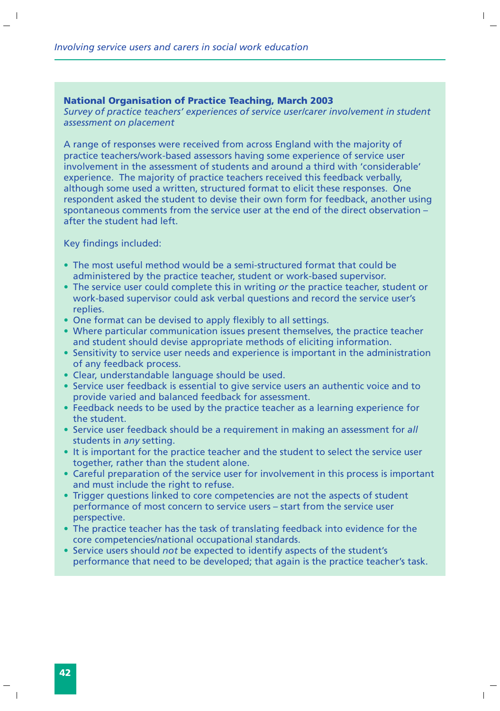#### **National Organisation of Practice Teaching, March 2003**

*Survey of practice teachers' experiences of service user/carer involvement in student assessment on placement*

A range of responses were received from across England with the majority of practice teachers/work-based assessors having some experience of service user involvement in the assessment of students and around a third with 'considerable' experience. The majority of practice teachers received this feedback verbally, although some used a written, structured format to elicit these responses. One respondent asked the student to devise their own form for feedback, another using spontaneous comments from the service user at the end of the direct observation – after the student had left.

Key findings included:

- The most useful method would be a semi-structured format that could be administered by the practice teacher, student or work-based supervisor.
- The service user could complete this in writing *or* the practice teacher, student or work-based supervisor could ask verbal questions and record the service user's replies.
- One format can be devised to apply flexibly to all settings.
- Where particular communication issues present themselves, the practice teacher and student should devise appropriate methods of eliciting information.
- Sensitivity to service user needs and experience is important in the administration of any feedback process.
- Clear, understandable language should be used.
- Service user feedback is essential to give service users an authentic voice and to provide varied and balanced feedback for assessment.
- Feedback needs to be used by the practice teacher as a learning experience for the student.
- Service user feedback should be a requirement in making an assessment for *all* students in *any* setting.
- It is important for the practice teacher and the student to select the service user together, rather than the student alone.
- Careful preparation of the service user for involvement in this process is important and must include the right to refuse.
- Trigger questions linked to core competencies are not the aspects of student performance of most concern to service users – start from the service user perspective.
- The practice teacher has the task of translating feedback into evidence for the core competencies/national occupational standards.
- Service users should *not* be expected to identify aspects of the student's performance that need to be developed; that again is the practice teacher's task.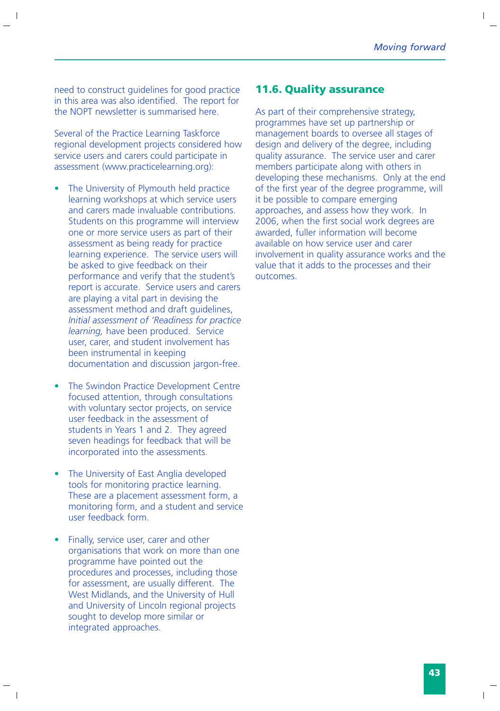need to construct guidelines for good practice in this area was also identified. The report for the NOPT newsletter is summarised here.

Several of the Practice Learning Taskforce regional development projects considered how service users and carers could participate in assessment (www.practicelearning.org):

- The University of Plymouth held practice learning workshops at which service users and carers made invaluable contributions. Students on this programme will interview one or more service users as part of their assessment as being ready for practice learning experience. The service users will be asked to give feedback on their performance and verify that the student's report is accurate. Service users and carers are playing a vital part in devising the assessment method and draft guidelines, *Initial assessment of 'Readiness for practice learning,* have been produced. Service user, carer, and student involvement has been instrumental in keeping documentation and discussion jargon-free.
- The Swindon Practice Development Centre focused attention, through consultations with voluntary sector projects, on service user feedback in the assessment of students in Years 1 and 2. They agreed seven headings for feedback that will be incorporated into the assessments.
- The University of East Anglia developed tools for monitoring practice learning. These are a placement assessment form, a monitoring form, and a student and service user feedback form.
- Finally, service user, carer and other organisations that work on more than one programme have pointed out the procedures and processes, including those for assessment, are usually different. The West Midlands, and the University of Hull and University of Lincoln regional projects sought to develop more similar or integrated approaches.

#### **11.6. Quality assurance**

As part of their comprehensive strategy, programmes have set up partnership or management boards to oversee all stages of design and delivery of the degree, including quality assurance. The service user and carer members participate along with others in developing these mechanisms. Only at the end of the first year of the degree programme, will it be possible to compare emerging approaches, and assess how they work. In 2006, when the first social work degrees are awarded, fuller information will become available on how service user and carer involvement in quality assurance works and the value that it adds to the processes and their outcomes.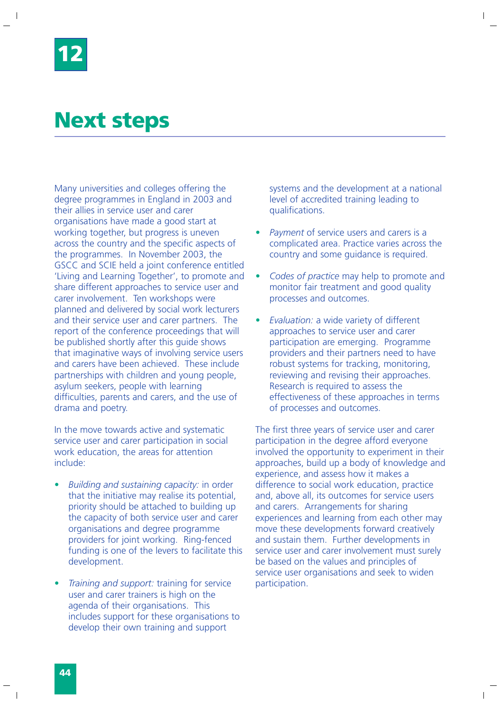### **Next steps**

**12**

Many universities and colleges offering the degree programmes in England in 2003 and their allies in service user and carer organisations have made a good start at working together, but progress is uneven across the country and the specific aspects of the programmes. In November 2003, the GSCC and SCIE held a joint conference entitled 'Living and Learning Together', to promote and share different approaches to service user and carer involvement. Ten workshops were planned and delivered by social work lecturers and their service user and carer partners. The report of the conference proceedings that will be published shortly after this guide shows that imaginative ways of involving service users and carers have been achieved. These include partnerships with children and young people, asylum seekers, people with learning difficulties, parents and carers, and the use of drama and poetry.

*Involving service users and carers in social work education*

In the move towards active and systematic service user and carer participation in social work education, the areas for attention include:

- *• Building and sustaining capacity:* in order that the initiative may realise its potential, priority should be attached to building up the capacity of both service user and carer organisations and degree programme providers for joint working. Ring-fenced funding is one of the levers to facilitate this development.
- *• Training and support:* training for service user and carer trainers is high on the agenda of their organisations. This includes support for these organisations to develop their own training and support

systems and the development at a national level of accredited training leading to qualifications.

- *• Payment* of service users and carers is a complicated area. Practice varies across the country and some guidance is required.
- *• Codes of practice* may help to promote and monitor fair treatment and good quality processes and outcomes.
- *• Evaluation:* a wide variety of different approaches to service user and carer participation are emerging. Programme providers and their partners need to have robust systems for tracking, monitoring, reviewing and revising their approaches. Research is required to assess the effectiveness of these approaches in terms of processes and outcomes.

The first three years of service user and carer participation in the degree afford everyone involved the opportunity to experiment in their approaches, build up a body of knowledge and experience, and assess how it makes a difference to social work education, practice and, above all, its outcomes for service users and carers. Arrangements for sharing experiences and learning from each other may move these developments forward creatively and sustain them. Further developments in service user and carer involvement must surely be based on the values and principles of service user organisations and seek to widen participation.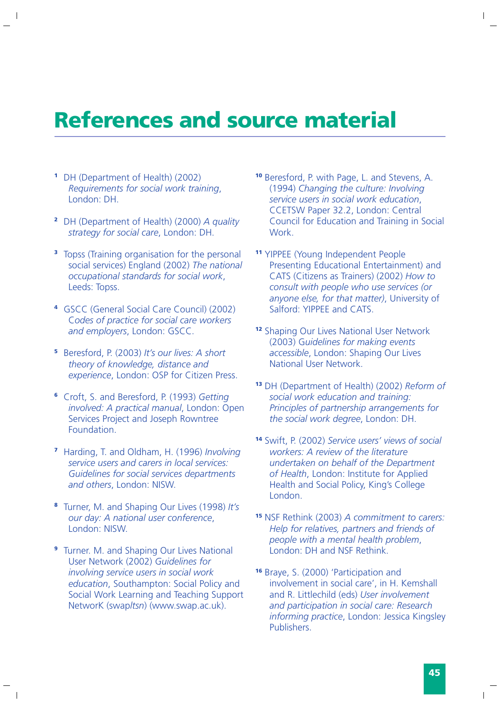### **References and source material**

- **<sup>1</sup>** DH (Department of Health) (2002) *Requirements for social work training*, London: DH.
- **<sup>2</sup>** DH (Department of Health) (2000) *A quality strategy for social care*, London: DH.
- **<sup>3</sup>** Topss (Training organisation for the personal social services) England (2002) *The national occupational standards for social work*, Leeds: Topss.
- **<sup>4</sup>** GSCC (General Social Care Council) (2002) C*odes of practice for social care workers and employers*, London: GSCC.
- **<sup>5</sup>** Beresford, P. (2003) *It's our lives: A short theory of knowledge, distance and experience*, London: OSP for Citizen Press.
- **<sup>6</sup>** Croft, S. and Beresford, P. (1993) *Getting involved: A practical manual*, London: Open Services Project and Joseph Rowntree Foundation.
- **<sup>7</sup>** Harding, T. and Oldham, H. (1996) *Involving service users and carers in local services: Guidelines for social services departments and others*, London: NISW.
- **<sup>8</sup>** Turner, M. and Shaping Our Lives (1998) *It's our day: A national user conference*, London: NISW.
- **<sup>9</sup>** Turner. M. and Shaping Our Lives National User Network (2002) *Guidelines for involving service users in social work education*, Southampton: Social Policy and Social Work Learning and Teaching Support NetworK (swap*ltsn*) (www.swap.ac.uk).
- **<sup>10</sup>** Beresford, P. with Page, L. and Stevens, A. (1994) *Changing the culture: Involving service users in social work education*, CCETSW Paper 32.2, London: Central Council for Education and Training in Social Work.
- **<sup>11</sup>** YIPPEE (Young Independent People Presenting Educational Entertainment) and CATS (Citizens as Trainers) (2002) *How to consult with people who use services (or anyone else, for that matter)*, University of Salford: YIPPEE and CATS.
- **<sup>12</sup>** Shaping Our Lives National User Network (2003) G*uidelines for making events accessible*, London: Shaping Our Lives National User Network.
- **<sup>13</sup>** DH (Department of Health) (2002) *Reform of social work education and training: Principles of partnership arrangements for the social work degree*, London: DH.
- **<sup>14</sup>** Swift, P. (2002) *Service users' views of social workers: A review of the literature undertaken on behalf of the Department of Health*, London: Institute for Applied Health and Social Policy, King's College London.
- **<sup>15</sup>** NSF Rethink (2003) *A commitment to carers: Help for relatives, partners and friends of people with a mental health problem*, London: DH and NSF Rethink.
- **<sup>16</sup>** Braye, S. (2000) 'Participation and involvement in social care', in H. Kemshall and R. Littlechild (eds) *User involvement and participation in social care: Research informing practice*, London: Jessica Kingsley Publishers.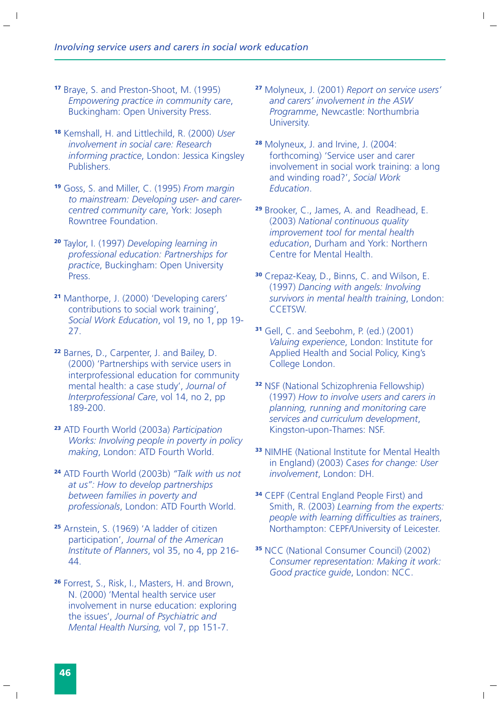- **<sup>17</sup>** Braye, S. and Preston-Shoot, M. (1995) *Empowering practice in community care*, Buckingham: Open University Press.
- **<sup>18</sup>** Kemshall, H. and Littlechild, R. (2000) *User involvement in social care: Research informing practice*, London: Jessica Kingsley **Publishers**
- **<sup>19</sup>** Goss, S. and Miller, C. (1995) *From margin to mainstream: Developing user- and carercentred community care*, York: Joseph Rowntree Foundation.
- **<sup>20</sup>** Taylor, I. (1997) *Developing learning in professional education: Partnerships for practice*, Buckingham: Open University Press.
- **<sup>21</sup>** Manthorpe, J. (2000) 'Developing carers' contributions to social work training', *Social Work Education*, vol 19, no 1, pp 19- 27.
- **<sup>22</sup>** Barnes, D., Carpenter, J. and Bailey, D. (2000) 'Partnerships with service users in interprofessional education for community mental health: a case study', *Journal of Interprofessional Care*, vol 14, no 2, pp 189-200.
- **<sup>23</sup>** ATD Fourth World (2003a) *Participation Works: Involving people in poverty in policy making*, London: ATD Fourth World.
- **<sup>24</sup>** ATD Fourth World (2003b) *"Talk with us not at us": How to develop partnerships between families in poverty and professionals*, London: ATD Fourth World.
- **<sup>25</sup>** Arnstein, S. (1969) 'A ladder of citizen participation', *Journal of the American Institute of Planners*, vol 35, no 4, pp 216- 44.
- **<sup>26</sup>** Forrest, S., Risk, I., Masters, H. and Brown, N. (2000) 'Mental health service user involvement in nurse education: exploring the issues', *Journal of Psychiatric and Mental Health Nursing,* vol 7, pp 151-7.
- **<sup>27</sup>** Molyneux, J. (2001) *Report on service users' and carers' involvement in the ASW Programme*, Newcastle: Northumbria University.
- **<sup>28</sup>** Molyneux, J. and Irvine, J. (2004: forthcoming) 'Service user and carer involvement in social work training: a long and winding road?', *Social Work Education*.
- **<sup>29</sup>** Brooker, C., James, A. and Readhead, E. (2003) *National continuous quality improvement tool for mental health education*, Durham and York: Northern Centre for Mental Health.
- **<sup>30</sup>** Crepaz-Keay, D., Binns, C. and Wilson, E. (1997) *Dancing with angels: Involving survivors in mental health training*, London: **CCETSW**
- **<sup>31</sup>** Gell, C. and Seebohm, P. (ed.) (2001) *Valuing experience*, London: Institute for Applied Health and Social Policy, King's College London.
- **<sup>32</sup>** NSF (National Schizophrenia Fellowship) (1997) *How to involve users and carers in planning, running and monitoring care services and curriculum development*, Kingston-upon-Thames: NSF.
- **<sup>33</sup>** NIMHE (National Institute for Mental Health in England) (2003) Ca*ses for change: User involvement*, London: DH.
- **<sup>34</sup>** CEPF (Central England People First) and Smith, R. (2003) *Learning from the experts: people with learning difficulties as trainers*, Northampton: CEPF/University of Leicester.
- **<sup>35</sup>** NCC (National Consumer Council) (2002) C*onsumer representation: Making it work: Good practice guide*, London: NCC.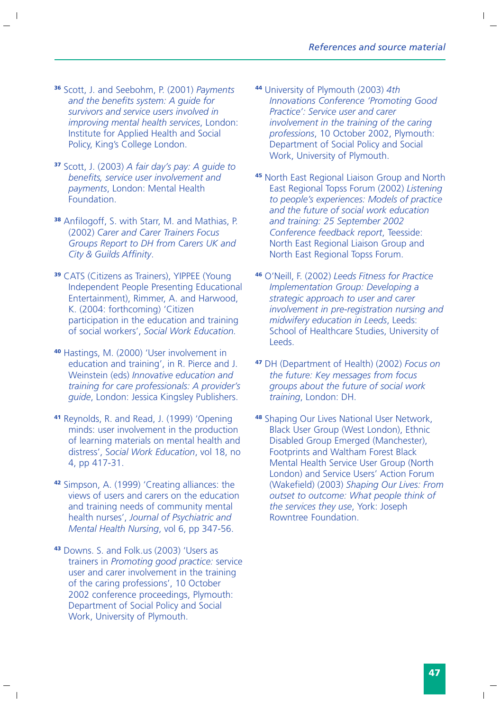- **<sup>36</sup>** Scott, J. and Seebohm, P. (2001) *Payments and the benefits system: A guide for survivors and service users involved in improving mental health services*, London: Institute for Applied Health and Social Policy, King's College London.
- **<sup>37</sup>** Scott, J. (2003) *A fair day's pay: A guide to benefits, service user involvement and payments*, London: Mental Health Foundation.
- **<sup>38</sup>** Anfilogoff, S. with Starr, M. and Mathias, P. (2002) *Carer and Carer Trainers Focus Groups Report to DH from Carers UK and City & Guilds Affinity*.
- **<sup>39</sup>** CATS (Citizens as Trainers), YIPPEE (Young Independent People Presenting Educational Entertainment), Rimmer, A. and Harwood, K. (2004: forthcoming) 'Citizen participation in the education and training of social workers', *Social Work Education.*
- **<sup>40</sup>** Hastings, M. (2000) 'User involvement in education and training', in R. Pierce and J. Weinstein (eds) *Innovative education and training for care professionals: A provider's guide*, London: Jessica Kingsley Publishers.
- **<sup>41</sup>** Reynolds, R. and Read, J. (1999) 'Opening minds: user involvement in the production of learning materials on mental health and distress', S*ocial Work Education*, vol 18, no 4, pp 417-31.
- **<sup>42</sup>** Simpson, A. (1999) 'Creating alliances: the views of users and carers on the education and training needs of community mental health nurses', *Journal of Psychiatric and Mental Health Nursing*, vol 6, pp 347-56.
- **<sup>43</sup>** Downs. S. and Folk.us (2003) 'Users as trainers in *Promoting good practice:* service user and carer involvement in the training of the caring professions', 10 October 2002 conference proceedings, Plymouth: Department of Social Policy and Social Work, University of Plymouth.
- **<sup>44</sup>** University of Plymouth (2003) *4th Innovations Conference 'Promoting Good Practice': Service user and carer involvement in the training of the caring professions*, 10 October 2002, Plymouth: Department of Social Policy and Social Work, University of Plymouth.
- **<sup>45</sup>** North East Regional Liaison Group and North East Regional Topss Forum (2002) *Listening to people's experiences: Models of practice and the future of social work education and training: 25 September 2002 Conference feedback report*, Teesside: North East Regional Liaison Group and North East Regional Topss Forum.
- **<sup>46</sup>** O'Neill, F. (2002) *Leeds Fitness for Practice Implementation Group: Developing a strategic approach to user and carer involvement in pre-registration nursing and midwifery education in Leeds*, Leeds: School of Healthcare Studies, University of Leeds.
- **<sup>47</sup>** DH (Department of Health) (2002) *Focus on the future: Key messages from focus groups about the future of social work training*, London: DH.
- **<sup>48</sup>** Shaping Our Lives National User Network, Black User Group (West London), Ethnic Disabled Group Emerged (Manchester), Footprints and Waltham Forest Black Mental Health Service User Group (North London) and Service Users' Action Forum (Wakefield) (2003) *Shaping Our Lives: From outset to outcome: What people think of the services they use*, York: Joseph Rowntree Foundation.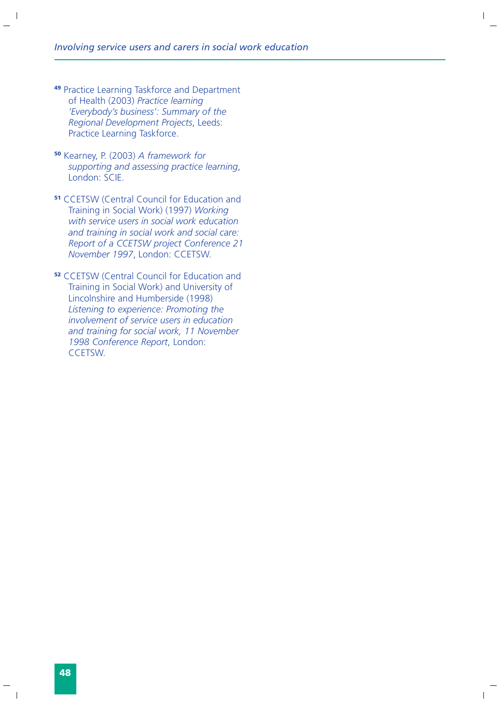- **<sup>49</sup>** Practice Learning Taskforce and Department of Health (2003) *Practice learning 'Everybody's business': Summary of the Regional Development Projects*, Leeds: Practice Learning Taskforce.
- **<sup>50</sup>** Kearney, P. (2003) *A framework for supporting and assessing practice learning*, London: SCIE.
- **<sup>51</sup>** CCETSW (Central Council for Education and Training in Social Work) (1997) *Working with service users in social work education and training in social work and social care: Report of a CCETSW project Conference 21 November 1997*, London: CCETSW.
- **<sup>52</sup>** CCETSW (Central Council for Education and Training in Social Work) and University of Lincolnshire and Humberside (1998) *Listening to experience: Promoting the involvement of service users in education and training for social work, 11 November 1998 Conference Report*, London: CCETSW.